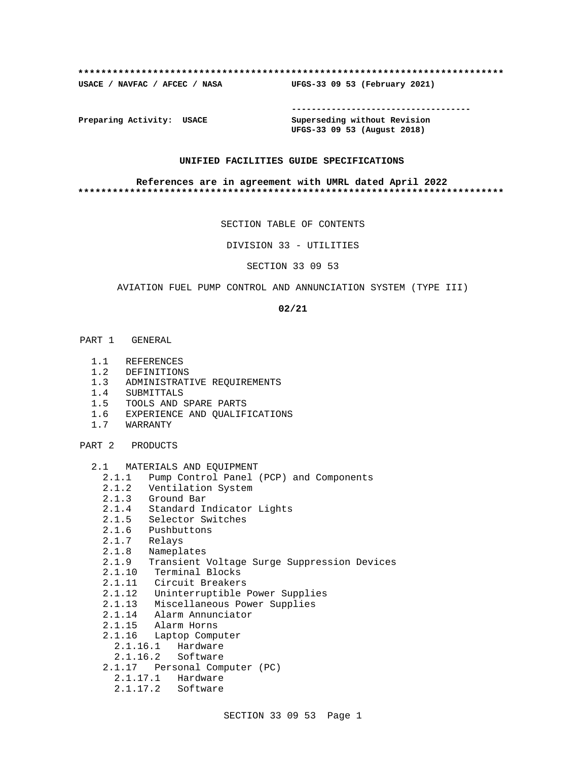#### **\*\*\*\*\*\*\*\*\*\*\*\*\*\*\*\*\*\*\*\*\*\*\*\*\*\*\*\*\*\*\*\*\*\*\*\*\*\*\*\*\*\*\*\*\*\*\*\*\*\*\*\*\*\*\*\*\*\*\*\*\*\*\*\*\*\*\*\*\*\*\*\*\*\***

**USACE / NAVFAC / AFCEC / NASA UFGS-33 09 53 (February 2021)**

**------------------------------------**

**Preparing Activity: USACE Superseding without Revision UFGS-33 09 53 (August 2018)**

#### **UNIFIED FACILITIES GUIDE SPECIFICATIONS**

#### **References are in agreement with UMRL dated April 2022 \*\*\*\*\*\*\*\*\*\*\*\*\*\*\*\*\*\*\*\*\*\*\*\*\*\*\*\*\*\*\*\*\*\*\*\*\*\*\*\*\*\*\*\*\*\*\*\*\*\*\*\*\*\*\*\*\*\*\*\*\*\*\*\*\*\*\*\*\*\*\*\*\*\***

SECTION TABLE OF CONTENTS

DIVISION 33 - UTILITIES

SECTION 33 09 53

#### AVIATION FUEL PUMP CONTROL AND ANNUNCIATION SYSTEM (TYPE III)

**02/21**

- PART 1 GENERAL
	- 1.1 REFERENCES
	- 1.2 DEFINITIONS
	- 1.3 ADMINISTRATIVE REQUIREMENTS
	- 1.4 SUBMITTALS
	- 1.5 TOOLS AND SPARE PARTS
	- 1.6 EXPERIENCE AND QUALIFICATIONS
	- 1.7 WARRANTY

PART 2 PRODUCTS

- 2.1 MATERIALS AND EQUIPMENT
	- 2.1.1 Pump Control Panel (PCP) and Components
	- 2.1.2 Ventilation System
	- 2.1.3 Ground Bar
	- 2.1.4 Standard Indicator Lights
	- 2.1.5 Selector Switches
	- 2.1.6 Pushbuttons
	- 2.1.7 Relays
	- 2.1.8 Nameplates
	- 2.1.9 Transient Voltage Surge Suppression Devices
- 2.1.10 Terminal Blocks
- 2.1.11 Circuit Breakers
	- 2.1.12 Uninterruptible Power Supplies
	- 2.1.13 Miscellaneous Power Supplies
	- 2.1.14 Alarm Annunciator
	- 2.1.15 Alarm Horns
	- 2.1.16 Laptop Computer
		- 2.1.16.1 Hardware
		- 2.1.16.2 Software
	- 2.1.17 Personal Computer (PC)
		- 2.1.17.1 Hardware
		- 2.1.17.2 Software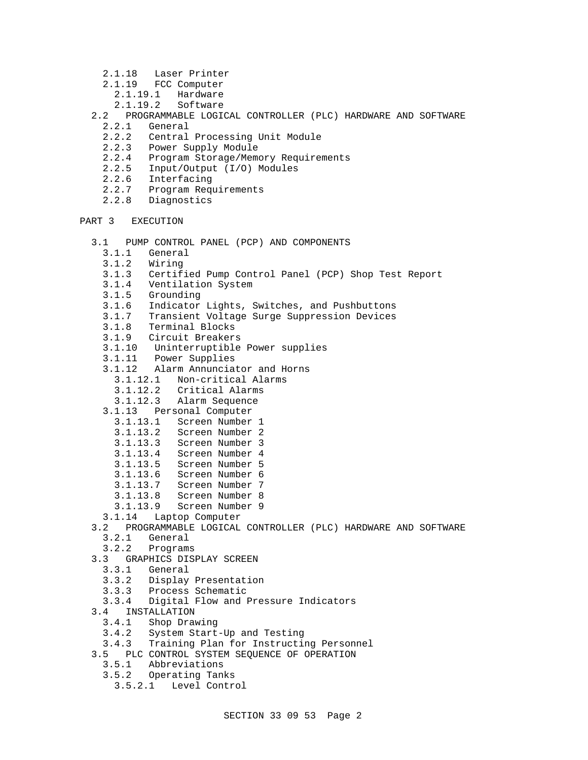- 2.1.18 Laser Printer
- 2.1.19 FCC Computer
	- 2.1.19.1 Hardware
	- 2.1.19.2 Software
- 2.2 PROGRAMMABLE LOGICAL CONTROLLER (PLC) HARDWARE AND SOFTWARE
	- General
	- 2.2.2 Central Processing Unit Module
	- 2.2.3 Power Supply Module<br>2.2.4 Program Storage/Memo
	- 2.2.4 Program Storage/Memory Requirements<br>2.2.5 Input/Output (I/O) Modules
	- 2.2.5 Input/Output (I/O) Modules
	- 2.2.6 Interfacing
	- 2.2.7 Program Requirements
	- 2.2.8 Diagnostics

# PART 3 EXECUTION

- 3.1 PUMP CONTROL PANEL (PCP) AND COMPONENTS
	- 3.1.1 General
	- 3.1.2 Wiring
	- 3.1.3 Certified Pump Control Panel (PCP) Shop Test Report
	- 3.1.4 Ventilation System
	- 3.1.5 Grounding
	- 3.1.6 Indicator Lights, Switches, and Pushbuttons
	- 3.1.7 Transient Voltage Surge Suppression Devices
	- 3.1.8 Terminal Blocks
	- 3.1.9 Circuit Breakers
	- 3.1.10 Uninterruptible Power supplies
	- 3.1.11 Power Supplies
	- 3.1.12 Alarm Annunciator and Horns
		- 3.1.12.1 Non-critical Alarms
		- 3.1.12.2 Critical Alarms
		- 3.1.12.3 Alarm Sequence
	- 3.1.13 Personal Computer
	- 3.1.13.1 Screen Number 1
	- 3.1.13.2 Screen Number 2
	- 3.1.13.3 Screen Number 3
	- 3.1.13.4 Screen Number 4
	- 3.1.13.5 Screen Number 5
	- 3.1.13.6 Screen Number 6
	- 3.1.13.7 Screen Number 7
	-
	- 3.1.13.8 Screen Number 8
	- 3.1.13.9 Screen Number 9
	- 3.1.14 Laptop Computer
- 3.2 PROGRAMMABLE LOGICAL CONTROLLER (PLC) HARDWARE AND SOFTWARE
	- 3.2.1 General
	- 3.2.2 Programs
- 3.3 GRAPHICS DISPLAY SCREEN
	- 3.3.1 General
	- 3.3.2 Display Presentation
	- 3.3.3 Process Schematic
- 3.3.4 Digital Flow and Pressure Indicators
- 3.4 INSTALLATION
	- 3.4.1 Shop Drawing
	- 3.4.2 System Start-Up and Testing
- 3.4.3 Training Plan for Instructing Personnel
- 3.5 PLC CONTROL SYSTEM SEQUENCE OF OPERATION
	- 3.5.1 Abbreviations
	- 3.5.2 Operating Tanks
	- 3.5.2.1 Level Control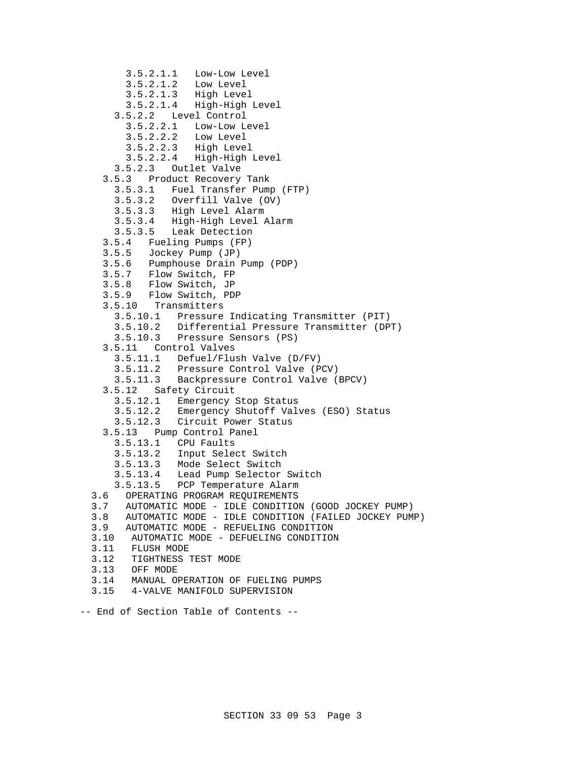```
 3.5.2.1.1 Low-Low Level
     3.5.2.1.2 Low Level
     3.5.2.1.3 High Level
     3.5.2.1.4 High-High Level
   3.5.2.2 Level Control
     3.5.2.2.1 Low-Low Level
     3.5.2.2.2 Low Level
     3.5.2.2.3 High Level
                3.5.2.2.4 High-High Level
   3.5.2.3 Outlet Valve
 3.5.3 Product Recovery Tank
   3.5.3.1 Fuel Transfer Pump (FTP)
   3.5.3.2 Overfill Valve (OV)
   3.5.3.3 High Level Alarm
   3.5.3.4 High-High Level Alarm
   3.5.3.5 Leak Detection
 3.5.4 Fueling Pumps (FP)
 3.5.5 Jockey Pump (JP)
 3.5.6 Pumphouse Drain Pump (PDP)
 3.5.7 Flow Switch, FP
 3.5.8 Flow Switch, JP
 3.5.9 Flow Switch, PDP
 3.5.10 Transmitters
   3.5.10.1 Pressure Indicating Transmitter (PIT)
   3.5.10.2 Differential Pressure Transmitter (DPT)
   3.5.10.3 Pressure Sensors (PS)
 3.5.11 Control Valves
   3.5.11.1 Defuel/Flush Valve (D/FV)
   3.5.11.2 Pressure Control Valve (PCV)
   3.5.11.3 Backpressure Control Valve (BPCV)
 3.5.12 Safety Circuit
   3.5.12.1 Emergency Stop Status
   3.5.12.2 Emergency Shutoff Valves (ESO) Status
   3.5.12.3 Circuit Power Status
 3.5.13 Pump Control Panel
   3.5.13.1 CPU Faults
   3.5.13.2 Input Select Switch
   3.5.13.3 Mode Select Switch
   3.5.13.4 Lead Pump Selector Switch
   3.5.13.5 PCP Temperature Alarm
3.6 OPERATING PROGRAM REQUIREMENTS
3.7 AUTOMATIC MODE - IDLE CONDITION (GOOD JOCKEY PUMP)
3.8 AUTOMATIC MODE - IDLE CONDITION (FAILED JOCKEY PUMP)
3.9 AUTOMATIC MODE - REFUELING CONDITION
3.10 AUTOMATIC MODE - DEFUELING CONDITION
3.11 FLUSH MODE
3.12 TIGHTNESS TEST MODE
3.13 OFF MODE
3.14 MANUAL OPERATION OF FUELING PUMPS
3.15 4-VALVE MANIFOLD SUPERVISION
```

```
-- End of Section Table of Contents --
```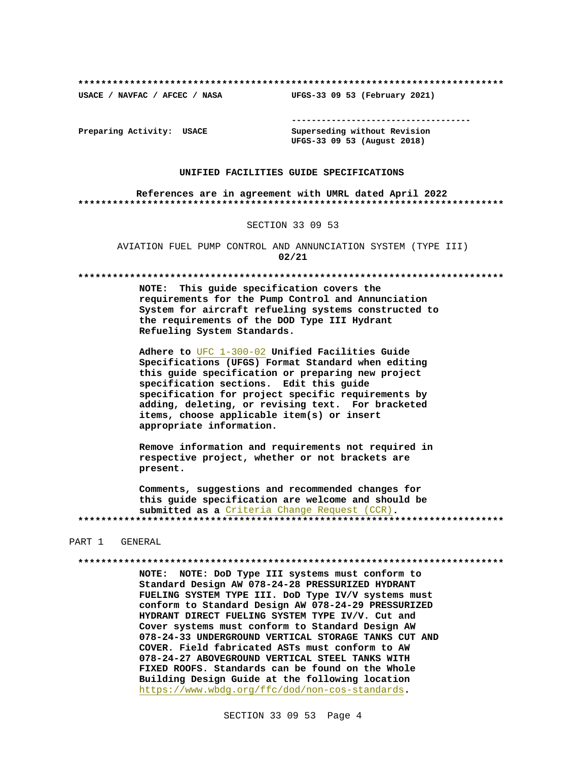**\*\*\*\*\*\*\*\*\*\*\*\*\*\*\*\*\*\*\*\*\*\*\*\*\*\*\*\*\*\*\*\*\*\*\*\*\*\*\*\*\*\*\*\*\*\*\*\*\*\*\*\*\*\*\*\*\*\*\*\*\*\*\*\*\*\*\*\*\*\*\*\*\*\***

**USACE / NAVFAC / AFCEC / NASA UFGS-33 09 53 (February 2021)**

**------------------------------------**

**Preparing Activity: USACE Superseding without Revision UFGS-33 09 53 (August 2018)**

#### **UNIFIED FACILITIES GUIDE SPECIFICATIONS**

**References are in agreement with UMRL dated April 2022 \*\*\*\*\*\*\*\*\*\*\*\*\*\*\*\*\*\*\*\*\*\*\*\*\*\*\*\*\*\*\*\*\*\*\*\*\*\*\*\*\*\*\*\*\*\*\*\*\*\*\*\*\*\*\*\*\*\*\*\*\*\*\*\*\*\*\*\*\*\*\*\*\*\***

#### SECTION 33 09 53

AVIATION FUEL PUMP CONTROL AND ANNUNCIATION SYSTEM (TYPE III) **02/21**

**\*\*\*\*\*\*\*\*\*\*\*\*\*\*\*\*\*\*\*\*\*\*\*\*\*\*\*\*\*\*\*\*\*\*\*\*\*\*\*\*\*\*\*\*\*\*\*\*\*\*\*\*\*\*\*\*\*\*\*\*\*\*\*\*\*\*\*\*\*\*\*\*\*\***

**NOTE: This guide specification covers the requirements for the Pump Control and Annunciation System for aircraft refueling systems constructed to the requirements of the DOD Type III Hydrant Refueling System Standards.**

**Adhere to** UFC 1-300-02 **Unified Facilities Guide Specifications (UFGS) Format Standard when editing this guide specification or preparing new project specification sections. Edit this guide specification for project specific requirements by adding, deleting, or revising text. For bracketed items, choose applicable item(s) or insert appropriate information.**

**Remove information and requirements not required in respective project, whether or not brackets are present.**

**Comments, suggestions and recommended changes for this guide specification are welcome and should be submitted as a** Criteria Change Request (CCR)**. \*\*\*\*\*\*\*\*\*\*\*\*\*\*\*\*\*\*\*\*\*\*\*\*\*\*\*\*\*\*\*\*\*\*\*\*\*\*\*\*\*\*\*\*\*\*\*\*\*\*\*\*\*\*\*\*\*\*\*\*\*\*\*\*\*\*\*\*\*\*\*\*\*\***

#### PART 1 GENERAL

**\*\*\*\*\*\*\*\*\*\*\*\*\*\*\*\*\*\*\*\*\*\*\*\*\*\*\*\*\*\*\*\*\*\*\*\*\*\*\*\*\*\*\*\*\*\*\*\*\*\*\*\*\*\*\*\*\*\*\*\*\*\*\*\*\*\*\*\*\*\*\*\*\*\***

**NOTE: NOTE: DoD Type III systems must conform to Standard Design AW 078-24-28 PRESSURIZED HYDRANT FUELING SYSTEM TYPE III. DoD Type IV/V systems must conform to Standard Design AW 078-24-29 PRESSURIZED HYDRANT DIRECT FUELING SYSTEM TYPE IV/V. Cut and Cover systems must conform to Standard Design AW 078-24-33 UNDERGROUND VERTICAL STORAGE TANKS CUT AND COVER. Field fabricated ASTs must conform to AW 078-24-27 ABOVEGROUND VERTICAL STEEL TANKS WITH FIXED ROOFS. Standards can be found on the Whole Building Design Guide at the following location** https://www.wbdg.org/ffc/dod/non-cos-standards**.**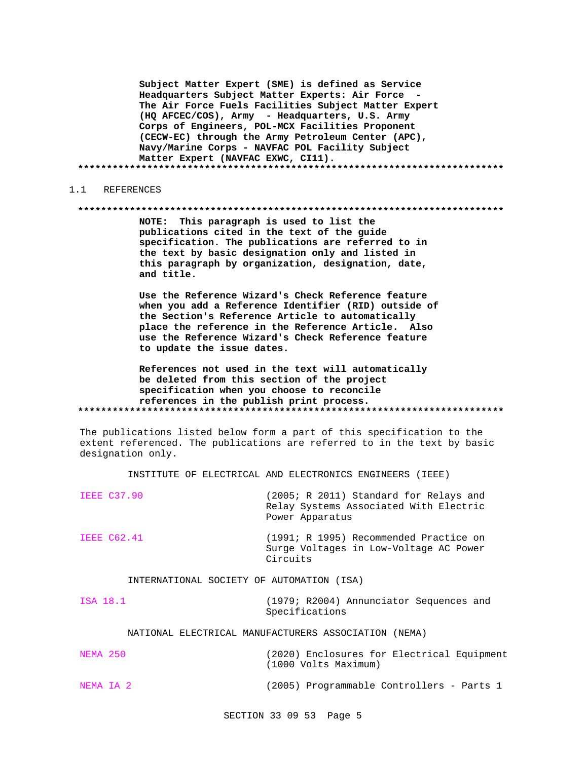**Subject Matter Expert (SME) is defined as Service Headquarters Subject Matter Experts: Air Force - The Air Force Fuels Facilities Subject Matter Expert (HQ AFCEC/COS), Army - Headquarters, U.S. Army Corps of Engineers, POL-MCX Facilities Proponent (CECW-EC) through the Army Petroleum Center (APC), Navy/Marine Corps - NAVFAC POL Facility Subject Matter Expert (NAVFAC EXWC, CI11). \*\*\*\*\*\*\*\*\*\*\*\*\*\*\*\*\*\*\*\*\*\*\*\*\*\*\*\*\*\*\*\*\*\*\*\*\*\*\*\*\*\*\*\*\*\*\*\*\*\*\*\*\*\*\*\*\*\*\*\*\*\*\*\*\*\*\*\*\*\*\*\*\*\***

#### 1.1 REFERENCES

#### **\*\*\*\*\*\*\*\*\*\*\*\*\*\*\*\*\*\*\*\*\*\*\*\*\*\*\*\*\*\*\*\*\*\*\*\*\*\*\*\*\*\*\*\*\*\*\*\*\*\*\*\*\*\*\*\*\*\*\*\*\*\*\*\*\*\*\*\*\*\*\*\*\*\***

**NOTE: This paragraph is used to list the publications cited in the text of the guide specification. The publications are referred to in the text by basic designation only and listed in this paragraph by organization, designation, date, and title.**

**Use the Reference Wizard's Check Reference feature when you add a Reference Identifier (RID) outside of the Section's Reference Article to automatically place the reference in the Reference Article. Also use the Reference Wizard's Check Reference feature to update the issue dates.**

**References not used in the text will automatically be deleted from this section of the project specification when you choose to reconcile references in the publish print process. \*\*\*\*\*\*\*\*\*\*\*\*\*\*\*\*\*\*\*\*\*\*\*\*\*\*\*\*\*\*\*\*\*\*\*\*\*\*\*\*\*\*\*\*\*\*\*\*\*\*\*\*\*\*\*\*\*\*\*\*\*\*\*\*\*\*\*\*\*\*\*\*\*\***

The publications listed below form a part of this specification to the extent referenced. The publications are referred to in the text by basic designation only.

INSTITUTE OF ELECTRICAL AND ELECTRONICS ENGINEERS (IEEE)

| <b>IEEE C37.90</b>                        | (2005; R 2011) Standard for Relays and<br>Relay Systems Associated With Electric<br>Power Apparatus |
|-------------------------------------------|-----------------------------------------------------------------------------------------------------|
| IEEE C62.41                               | (1991; R 1995) Recommended Practice on<br>Surge Voltages in Low-Voltage AC Power<br>Circuits        |
| INTERNATIONAL SOCIETY OF AUTOMATION (ISA) |                                                                                                     |

ISA 18.1 (1979; R2004) Annunciator Sequences and Specifications

# NATIONAL ELECTRICAL MANUFACTURERS ASSOCIATION (NEMA)

| NEMA 250  | (2020) Enclosures for Electrical Equipment<br>(1000 Volts Maximum) |
|-----------|--------------------------------------------------------------------|
| NEMA IA 2 | (2005) Programmable Controllers - Parts 1                          |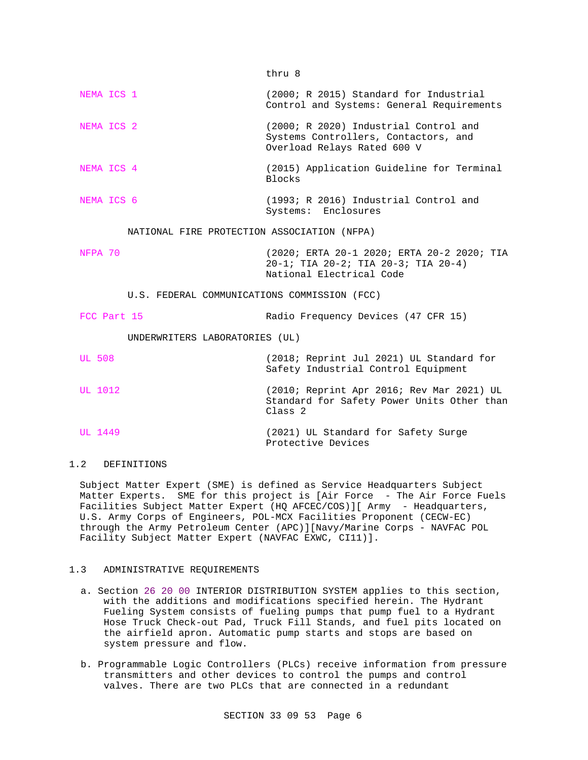thru 8

NEMA ICS 1 (2000; R 2015) Standard for Industrial Control and Systems: General Requirements NEMA ICS 2 (2000; R 2020) Industrial Control and Systems Controllers, Contactors, and Overload Relays Rated 600 V NEMA ICS 4 (2015) Application Guideline for Terminal Blocks NEMA ICS 6 (1993; R 2016) Industrial Control and Systems: Enclosures NATIONAL FIRE PROTECTION ASSOCIATION (NFPA) NFPA 70 (2020; ERTA 20-1 2020; ERTA 20-2 2020; TIA 20-1; TIA 20-2; TIA 20-3; TIA 20-4) National Electrical Code U.S. FEDERAL COMMUNICATIONS COMMISSION (FCC) FCC Part 15 Radio Frequency Devices (47 CFR 15) UNDERWRITERS LABORATORIES (UL) UL 508 (2018; Reprint Jul 2021) UL Standard for Safety Industrial Control Equipment UL 1012 (2010; Reprint Apr 2016; Rev Mar 2021) UL Standard for Safety Power Units Other than Class 2 UL 1449 (2021) UL Standard for Safety Surge Protective Devices

# 1.2 DEFINITIONS

Subject Matter Expert (SME) is defined as Service Headquarters Subject Matter Experts. SME for this project is [Air Force - The Air Force Fuels Facilities Subject Matter Expert (HQ AFCEC/COS)][ Army - Headquarters, U.S. Army Corps of Engineers, POL-MCX Facilities Proponent (CECW-EC) through the Army Petroleum Center (APC)][Navy/Marine Corps - NAVFAC POL Facility Subject Matter Expert (NAVFAC EXWC, CI11)].

# 1.3 ADMINISTRATIVE REQUIREMENTS

- a. Section 26 20 00 INTERIOR DISTRIBUTION SYSTEM applies to this section, with the additions and modifications specified herein. The Hydrant Fueling System consists of fueling pumps that pump fuel to a Hydrant Hose Truck Check-out Pad, Truck Fill Stands, and fuel pits located on the airfield apron. Automatic pump starts and stops are based on system pressure and flow.
- b. Programmable Logic Controllers (PLCs) receive information from pressure transmitters and other devices to control the pumps and control valves. There are two PLCs that are connected in a redundant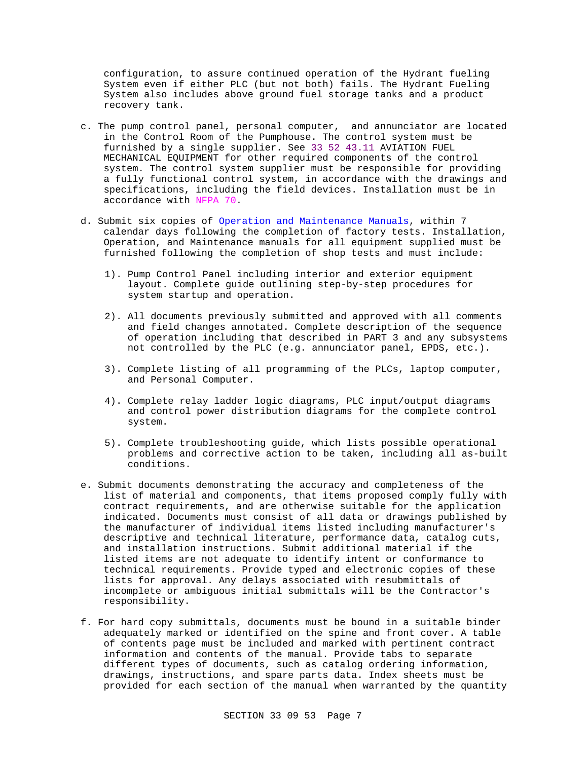configuration, to assure continued operation of the Hydrant fueling System even if either PLC (but not both) fails. The Hydrant Fueling System also includes above ground fuel storage tanks and a product recovery tank.

- c. The pump control panel, personal computer, and annunciator are located in the Control Room of the Pumphouse. The control system must be furnished by a single supplier. See 33 52 43.11 AVIATION FUEL MECHANICAL EQUIPMENT for other required components of the control system. The control system supplier must be responsible for providing a fully functional control system, in accordance with the drawings and specifications, including the field devices. Installation must be in accordance with NFPA 70.
- d. Submit six copies of Operation and Maintenance Manuals, within 7 calendar days following the completion of factory tests. Installation, Operation, and Maintenance manuals for all equipment supplied must be furnished following the completion of shop tests and must include:
	- 1). Pump Control Panel including interior and exterior equipment layout. Complete guide outlining step-by-step procedures for system startup and operation.
	- 2). All documents previously submitted and approved with all comments and field changes annotated. Complete description of the sequence of operation including that described in PART 3 and any subsystems not controlled by the PLC (e.g. annunciator panel, EPDS, etc.).
	- 3). Complete listing of all programming of the PLCs, laptop computer, and Personal Computer.
	- 4). Complete relay ladder logic diagrams, PLC input/output diagrams and control power distribution diagrams for the complete control system.
	- 5). Complete troubleshooting guide, which lists possible operational problems and corrective action to be taken, including all as-built conditions.
- e. Submit documents demonstrating the accuracy and completeness of the list of material and components, that items proposed comply fully with contract requirements, and are otherwise suitable for the application indicated. Documents must consist of all data or drawings published by the manufacturer of individual items listed including manufacturer's descriptive and technical literature, performance data, catalog cuts, and installation instructions. Submit additional material if the listed items are not adequate to identify intent or conformance to technical requirements. Provide typed and electronic copies of these lists for approval. Any delays associated with resubmittals of incomplete or ambiguous initial submittals will be the Contractor's responsibility.
- f. For hard copy submittals, documents must be bound in a suitable binder adequately marked or identified on the spine and front cover. A table of contents page must be included and marked with pertinent contract information and contents of the manual. Provide tabs to separate different types of documents, such as catalog ordering information, drawings, instructions, and spare parts data. Index sheets must be provided for each section of the manual when warranted by the quantity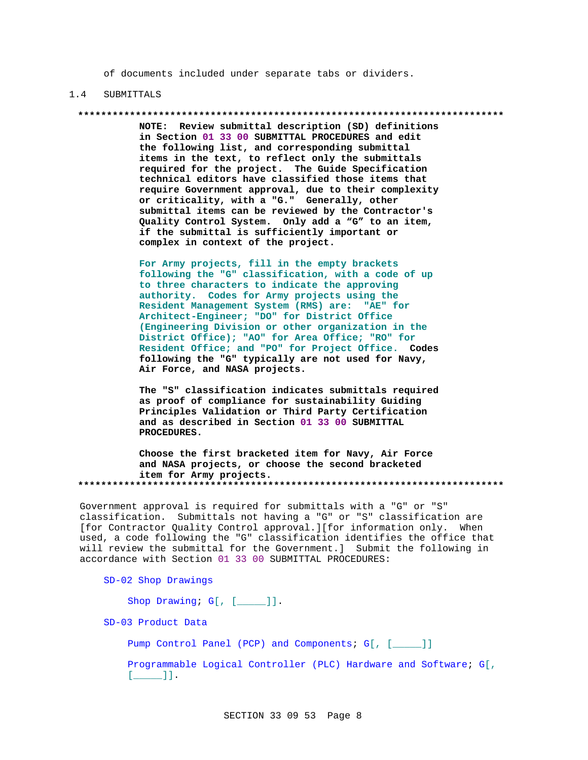of documents included under separate tabs or dividers.

#### 1.4 SUBMITTALS

**\*\*\*\*\*\*\*\*\*\*\*\*\*\*\*\*\*\*\*\*\*\*\*\*\*\*\*\*\*\*\*\*\*\*\*\*\*\*\*\*\*\*\*\*\*\*\*\*\*\*\*\*\*\*\*\*\*\*\*\*\*\*\*\*\*\*\*\*\*\*\*\*\*\***

**NOTE: Review submittal description (SD) definitions in Section 01 33 00 SUBMITTAL PROCEDURES and edit the following list, and corresponding submittal items in the text, to reflect only the submittals required for the project. The Guide Specification technical editors have classified those items that require Government approval, due to their complexity or criticality, with a "G." Generally, other submittal items can be reviewed by the Contractor's Quality Control System. Only add a "G" to an item, if the submittal is sufficiently important or complex in context of the project.**

**For Army projects, fill in the empty brackets following the "G" classification, with a code of up to three characters to indicate the approving authority. Codes for Army projects using the Resident Management System (RMS) are: "AE" for Architect-Engineer; "DO" for District Office (Engineering Division or other organization in the District Office); "AO" for Area Office; "RO" for Resident Office; and "PO" for Project Office. Codes following the "G" typically are not used for Navy, Air Force, and NASA projects.**

**The "S" classification indicates submittals required as proof of compliance for sustainability Guiding Principles Validation or Third Party Certification and as described in Section 01 33 00 SUBMITTAL PROCEDURES.**

**Choose the first bracketed item for Navy, Air Force and NASA projects, or choose the second bracketed item for Army projects. \*\*\*\*\*\*\*\*\*\*\*\*\*\*\*\*\*\*\*\*\*\*\*\*\*\*\*\*\*\*\*\*\*\*\*\*\*\*\*\*\*\*\*\*\*\*\*\*\*\*\*\*\*\*\*\*\*\*\*\*\*\*\*\*\*\*\*\*\*\*\*\*\*\***

Government approval is required for submittals with a "G" or "S" classification. Submittals not having a "G" or "S" classification are [for Contractor Quality Control approval.][for information only. When used, a code following the "G" classification identifies the office that will review the submittal for the Government.] Submit the following in accordance with Section 01 33 00 SUBMITTAL PROCEDURES:

SD-02 Shop Drawings

Shop Drawing; G[, [\_\_\_\_]].

SD-03 Product Data

Pump Control Panel (PCP) and Components; G[, [\_\_\_\_]]

Programmable Logical Controller (PLC) Hardware and Software; G[,  $[\_$   $]\_$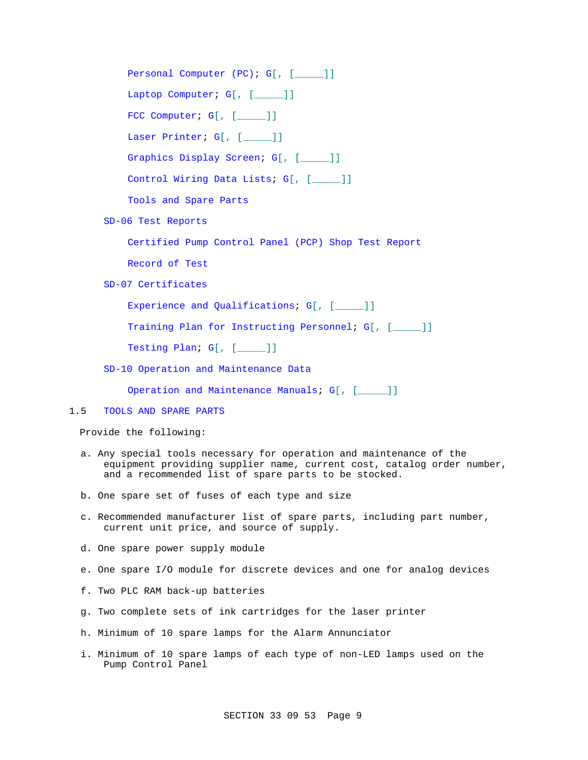Personal Computer (PC); G[, [\_\_\_\_]] Laptop Computer; G[, [\_\_\_\_]] FCC Computer; G[, [\_\_\_\_]] Laser Printer; G[, [\_\_\_\_\_ ]] Graphics Display Screen; G[, [\_\_\_\_]] Control Wiring Data Lists; G[, [\_\_\_\_\_]] Tools and Spare Parts SD-06 Test Reports Certified Pump Control Panel (PCP) Shop Test Report

Record of Test

SD-07 Certificates

Experience and Qualifications; G[, [\_\_\_\_]]

Training Plan for Instructing Personnel; G[, [\_\_\_\_\_]]

Testing Plan; G[, [\_\_\_\_]]

SD-10 Operation and Maintenance Data

Operation and Maintenance Manuals; G[, [\_\_\_\_]]

# 1.5 TOOLS AND SPARE PARTS

Provide the following:

- a. Any special tools necessary for operation and maintenance of the equipment providing supplier name, current cost, catalog order number, and a recommended list of spare parts to be stocked.
- b. One spare set of fuses of each type and size
- c. Recommended manufacturer list of spare parts, including part number, current unit price, and source of supply.
- d. One spare power supply module
- e. One spare I/O module for discrete devices and one for analog devices
- f. Two PLC RAM back-up batteries
- g. Two complete sets of ink cartridges for the laser printer
- h. Minimum of 10 spare lamps for the Alarm Annunciator
- i. Minimum of 10 spare lamps of each type of non-LED lamps used on the Pump Control Panel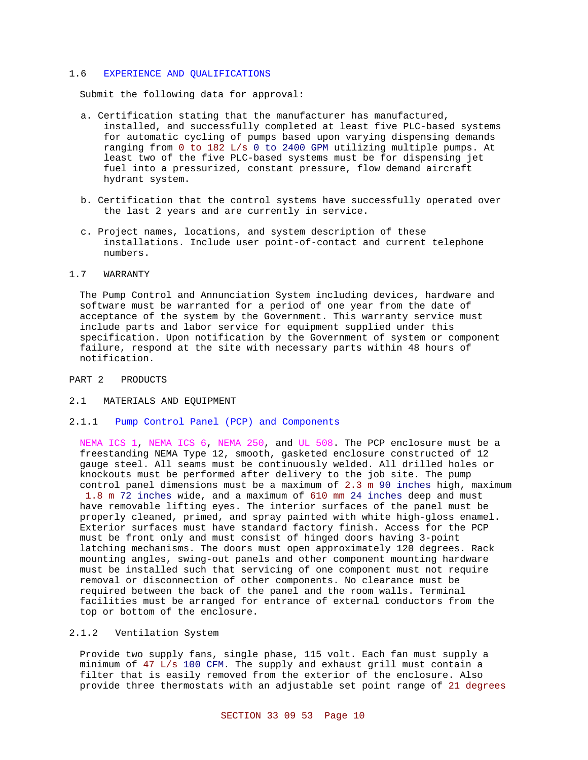#### 1.6 EXPERIENCE AND QUALIFICATIONS

Submit the following data for approval:

- a. Certification stating that the manufacturer has manufactured, installed, and successfully completed at least five PLC-based systems for automatic cycling of pumps based upon varying dispensing demands ranging from 0 to 182 L/s 0 to 2400 GPM utilizing multiple pumps. At least two of the five PLC-based systems must be for dispensing jet fuel into a pressurized, constant pressure, flow demand aircraft hydrant system.
- b. Certification that the control systems have successfully operated over the last 2 years and are currently in service.
- c. Project names, locations, and system description of these installations. Include user point-of-contact and current telephone numbers.

#### 1.7 WARRANTY

The Pump Control and Annunciation System including devices, hardware and software must be warranted for a period of one year from the date of acceptance of the system by the Government. This warranty service must include parts and labor service for equipment supplied under this specification. Upon notification by the Government of system or component failure, respond at the site with necessary parts within 48 hours of notification.

- PART 2 PRODUCTS
- 2.1 MATERIALS AND EQUIPMENT
- 2.1.1 Pump Control Panel (PCP) and Components

NEMA ICS 1, NEMA ICS 6, NEMA 250, and UL 508. The PCP enclosure must be a freestanding NEMA Type 12, smooth, gasketed enclosure constructed of 12 gauge steel. All seams must be continuously welded. All drilled holes or knockouts must be performed after delivery to the job site. The pump control panel dimensions must be a maximum of 2.3 m 90 inches high, maximum

 1.8 m 72 inches wide, and a maximum of 610 mm 24 inches deep and must have removable lifting eyes. The interior surfaces of the panel must be properly cleaned, primed, and spray painted with white high-gloss enamel. Exterior surfaces must have standard factory finish. Access for the PCP must be front only and must consist of hinged doors having 3-point latching mechanisms. The doors must open approximately 120 degrees. Rack mounting angles, swing-out panels and other component mounting hardware must be installed such that servicing of one component must not require removal or disconnection of other components. No clearance must be required between the back of the panel and the room walls. Terminal facilities must be arranged for entrance of external conductors from the top or bottom of the enclosure.

#### 2.1.2 Ventilation System

Provide two supply fans, single phase, 115 volt. Each fan must supply a minimum of 47 L/s 100 CFM. The supply and exhaust grill must contain a filter that is easily removed from the exterior of the enclosure. Also provide three thermostats with an adjustable set point range of 21 degrees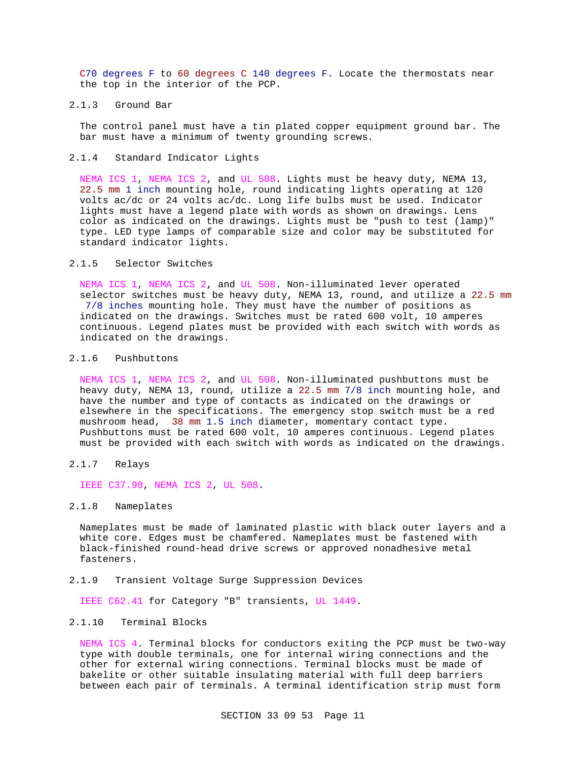C70 degrees F to 60 degrees C 140 degrees F. Locate the thermostats near the top in the interior of the PCP.

#### 2.1.3 Ground Bar

The control panel must have a tin plated copper equipment ground bar. The bar must have a minimum of twenty grounding screws.

2.1.4 Standard Indicator Lights

NEMA ICS 1, NEMA ICS 2, and UL 508. Lights must be heavy duty, NEMA 13, 22.5 mm 1 inch mounting hole, round indicating lights operating at 120 volts ac/dc or 24 volts ac/dc. Long life bulbs must be used. Indicator lights must have a legend plate with words as shown on drawings. Lens color as indicated on the drawings. Lights must be "push to test (lamp)" type. LED type lamps of comparable size and color may be substituted for standard indicator lights.

#### 2.1.5 Selector Switches

NEMA ICS 1, NEMA ICS 2, and UL 508. Non-illuminated lever operated selector switches must be heavy duty, NEMA 13, round, and utilize a 22.5 mm 7/8 inches mounting hole. They must have the number of positions as indicated on the drawings. Switches must be rated 600 volt, 10 amperes continuous. Legend plates must be provided with each switch with words as indicated on the drawings.

#### 2.1.6 Pushbuttons

NEMA ICS 1, NEMA ICS 2, and UL 508. Non-illuminated pushbuttons must be heavy duty, NEMA 13, round, utilize a 22.5 mm 7/8 inch mounting hole, and have the number and type of contacts as indicated on the drawings or elsewhere in the specifications. The emergency stop switch must be a red mushroom head, 38 mm 1.5 inch diameter, momentary contact type. Pushbuttons must be rated 600 volt, 10 amperes continuous. Legend plates must be provided with each switch with words as indicated on the drawings.

2.1.7 Relays

IEEE C37.90, NEMA ICS 2, UL 508.

### 2.1.8 Nameplates

Nameplates must be made of laminated plastic with black outer layers and a white core. Edges must be chamfered. Nameplates must be fastened with black-finished round-head drive screws or approved nonadhesive metal fasteners.

## 2.1.9 Transient Voltage Surge Suppression Devices

IEEE C62.41 for Category "B" transients, UL 1449.

#### 2.1.10 Terminal Blocks

NEMA ICS 4. Terminal blocks for conductors exiting the PCP must be two-way type with double terminals, one for internal wiring connections and the other for external wiring connections. Terminal blocks must be made of bakelite or other suitable insulating material with full deep barriers between each pair of terminals. A terminal identification strip must form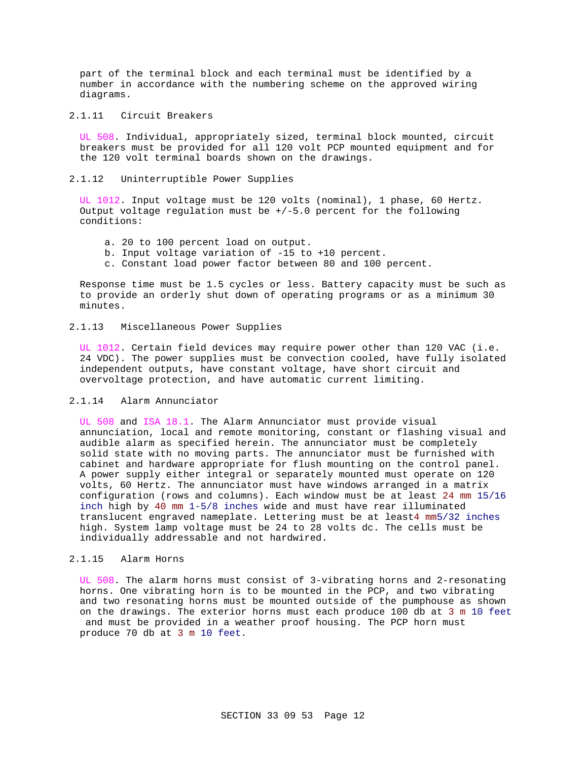part of the terminal block and each terminal must be identified by a number in accordance with the numbering scheme on the approved wiring diagrams.

2.1.11 Circuit Breakers

UL 508. Individual, appropriately sized, terminal block mounted, circuit breakers must be provided for all 120 volt PCP mounted equipment and for the 120 volt terminal boards shown on the drawings.

2.1.12 Uninterruptible Power Supplies

UL 1012. Input voltage must be 120 volts (nominal), 1 phase, 60 Hertz. Output voltage regulation must be  $+/-5.0$  percent for the following conditions:

- a. 20 to 100 percent load on output.
- b. Input voltage variation of -15 to +10 percent.
- c. Constant load power factor between 80 and 100 percent.

Response time must be 1.5 cycles or less. Battery capacity must be such as to provide an orderly shut down of operating programs or as a minimum 30 minutes.

# 2.1.13 Miscellaneous Power Supplies

UL 1012. Certain field devices may require power other than 120 VAC (i.e. 24 VDC). The power supplies must be convection cooled, have fully isolated independent outputs, have constant voltage, have short circuit and overvoltage protection, and have automatic current limiting.

## 2.1.14 Alarm Annunciator

UL 508 and ISA 18.1. The Alarm Annunciator must provide visual annunciation, local and remote monitoring, constant or flashing visual and audible alarm as specified herein. The annunciator must be completely solid state with no moving parts. The annunciator must be furnished with cabinet and hardware appropriate for flush mounting on the control panel. A power supply either integral or separately mounted must operate on 120 volts, 60 Hertz. The annunciator must have windows arranged in a matrix configuration (rows and columns). Each window must be at least 24 mm 15/16 inch high by 40 mm 1-5/8 inches wide and must have rear illuminated translucent engraved nameplate. Lettering must be at least4 mm5/32 inches high. System lamp voltage must be 24 to 28 volts dc. The cells must be individually addressable and not hardwired.

# 2.1.15 Alarm Horns

UL 508. The alarm horns must consist of 3-vibrating horns and 2-resonating horns. One vibrating horn is to be mounted in the PCP, and two vibrating and two resonating horns must be mounted outside of the pumphouse as shown on the drawings. The exterior horns must each produce 100 db at 3 m 10 feet

 and must be provided in a weather proof housing. The PCP horn must produce 70 db at 3 m 10 feet.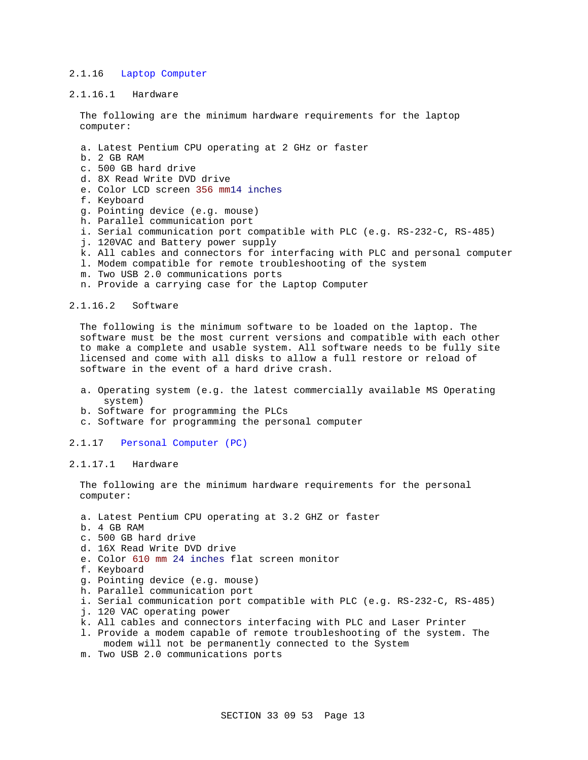## 2.1.16 Laptop Computer

2.1.16.1 Hardware

The following are the minimum hardware requirements for the laptop computer:

- a. Latest Pentium CPU operating at 2 GHz or faster
- b. 2 GB RAM
- c. 500 GB hard drive
- d. 8X Read Write DVD drive
- e. Color LCD screen 356 mm14 inches
- f. Keyboard
- g. Pointing device (e.g. mouse)
- h. Parallel communication port
- i. Serial communication port compatible with PLC (e.g. RS-232-C, RS-485)
- j. 120VAC and Battery power supply
- k. All cables and connectors for interfacing with PLC and personal computer
- l. Modem compatible for remote troubleshooting of the system
- m. Two USB 2.0 communications ports
- n. Provide a carrying case for the Laptop Computer

## 2.1.16.2 Software

The following is the minimum software to be loaded on the laptop. The software must be the most current versions and compatible with each other to make a complete and usable system. All software needs to be fully site licensed and come with all disks to allow a full restore or reload of software in the event of a hard drive crash.

- a. Operating system (e.g. the latest commercially available MS Operating system)
- b. Software for programming the PLCs
- c. Software for programming the personal computer
- 2.1.17 Personal Computer (PC)

#### 2.1.17.1 Hardware

The following are the minimum hardware requirements for the personal computer:

- a. Latest Pentium CPU operating at 3.2 GHZ or faster
- b. 4 GB RAM
- c. 500 GB hard drive
- d. 16X Read Write DVD drive
- e. Color 610 mm 24 inches flat screen monitor
- f. Keyboard
- g. Pointing device (e.g. mouse)
- h. Parallel communication port
- i. Serial communication port compatible with PLC (e.g. RS-232-C, RS-485)
- j. 120 VAC operating power
- k. All cables and connectors interfacing with PLC and Laser Printer
- l. Provide a modem capable of remote troubleshooting of the system. The modem will not be permanently connected to the System
- m. Two USB 2.0 communications ports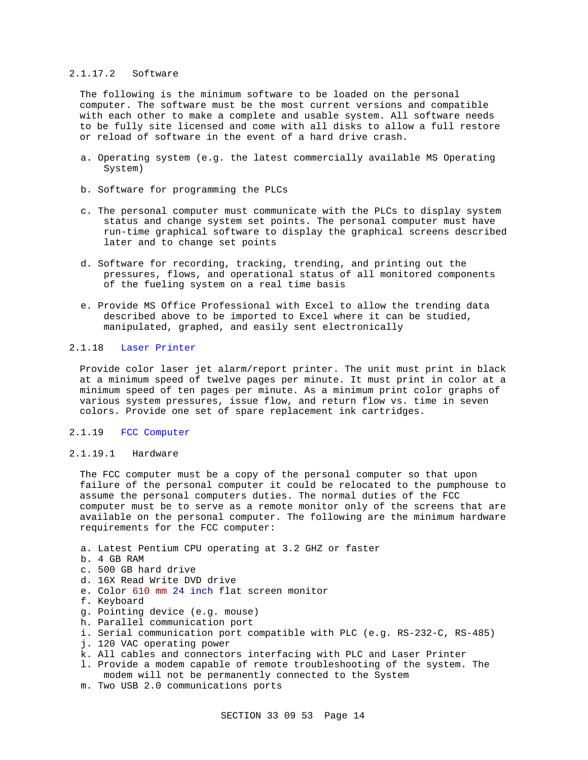#### 2.1.17.2 Software

The following is the minimum software to be loaded on the personal computer. The software must be the most current versions and compatible with each other to make a complete and usable system. All software needs to be fully site licensed and come with all disks to allow a full restore or reload of software in the event of a hard drive crash.

- a. Operating system (e.g. the latest commercially available MS Operating System)
- b. Software for programming the PLCs
- c. The personal computer must communicate with the PLCs to display system status and change system set points. The personal computer must have run-time graphical software to display the graphical screens described later and to change set points
- d. Software for recording, tracking, trending, and printing out the pressures, flows, and operational status of all monitored components of the fueling system on a real time basis
- e. Provide MS Office Professional with Excel to allow the trending data described above to be imported to Excel where it can be studied, manipulated, graphed, and easily sent electronically

# 2.1.18 Laser Printer

Provide color laser jet alarm/report printer. The unit must print in black at a minimum speed of twelve pages per minute. It must print in color at a minimum speed of ten pages per minute. As a minimum print color graphs of various system pressures, issue flow, and return flow vs. time in seven colors. Provide one set of spare replacement ink cartridges.

#### 2.1.19 FCC Computer

#### 2.1.19.1 Hardware

The FCC computer must be a copy of the personal computer so that upon failure of the personal computer it could be relocated to the pumphouse to assume the personal computers duties. The normal duties of the FCC computer must be to serve as a remote monitor only of the screens that are available on the personal computer. The following are the minimum hardware requirements for the FCC computer:

- a. Latest Pentium CPU operating at 3.2 GHZ or faster
- b. 4 GB RAM
- c. 500 GB hard drive
- d. 16X Read Write DVD drive
- e. Color 610 mm 24 inch flat screen monitor
- f. Keyboard
- g. Pointing device (e.g. mouse)
- h. Parallel communication port
- i. Serial communication port compatible with PLC (e.g. RS-232-C, RS-485)
- j. 120 VAC operating power
- k. All cables and connectors interfacing with PLC and Laser Printer
- l. Provide a modem capable of remote troubleshooting of the system. The modem will not be permanently connected to the System
- m. Two USB 2.0 communications ports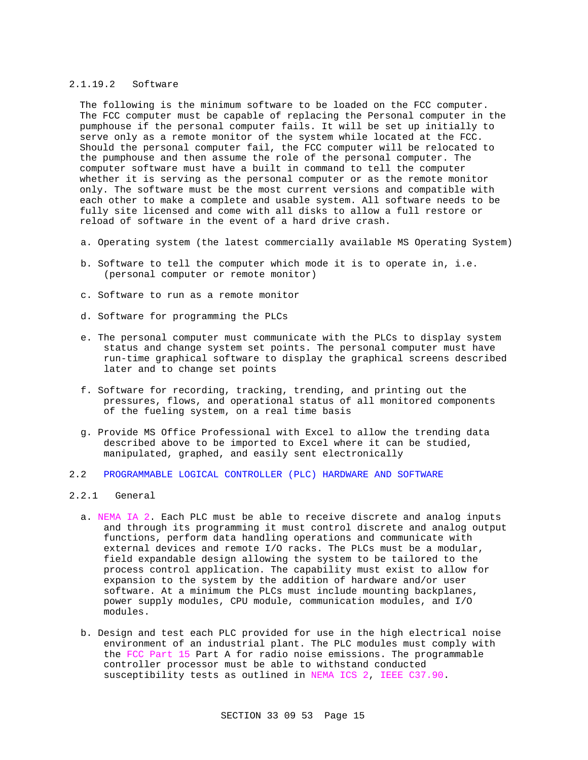#### 2.1.19.2 Software

The following is the minimum software to be loaded on the FCC computer. The FCC computer must be capable of replacing the Personal computer in the pumphouse if the personal computer fails. It will be set up initially to serve only as a remote monitor of the system while located at the FCC. Should the personal computer fail, the FCC computer will be relocated to the pumphouse and then assume the role of the personal computer. The computer software must have a built in command to tell the computer whether it is serving as the personal computer or as the remote monitor only. The software must be the most current versions and compatible with each other to make a complete and usable system. All software needs to be fully site licensed and come with all disks to allow a full restore or reload of software in the event of a hard drive crash.

- a. Operating system (the latest commercially available MS Operating System)
- b. Software to tell the computer which mode it is to operate in, i.e. (personal computer or remote monitor)
- c. Software to run as a remote monitor
- d. Software for programming the PLCs
- e. The personal computer must communicate with the PLCs to display system status and change system set points. The personal computer must have run-time graphical software to display the graphical screens described later and to change set points
- f. Software for recording, tracking, trending, and printing out the pressures, flows, and operational status of all monitored components of the fueling system, on a real time basis
- g. Provide MS Office Professional with Excel to allow the trending data described above to be imported to Excel where it can be studied, manipulated, graphed, and easily sent electronically
- 2.2 PROGRAMMABLE LOGICAL CONTROLLER (PLC) HARDWARE AND SOFTWARE
- 2.2.1 General
	- a. NEMA IA 2. Each PLC must be able to receive discrete and analog inputs and through its programming it must control discrete and analog output functions, perform data handling operations and communicate with external devices and remote I/O racks. The PLCs must be a modular, field expandable design allowing the system to be tailored to the process control application. The capability must exist to allow for expansion to the system by the addition of hardware and/or user software. At a minimum the PLCs must include mounting backplanes, power supply modules, CPU module, communication modules, and I/O modules.
	- b. Design and test each PLC provided for use in the high electrical noise environment of an industrial plant. The PLC modules must comply with the FCC Part 15 Part A for radio noise emissions. The programmable controller processor must be able to withstand conducted susceptibility tests as outlined in NEMA ICS 2, IEEE C37.90.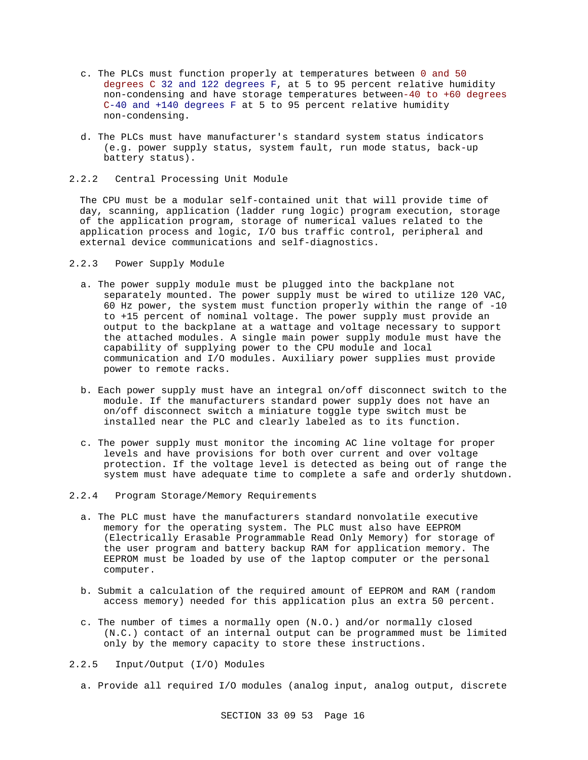- c. The PLCs must function properly at temperatures between 0 and 50 degrees C 32 and 122 degrees F, at 5 to 95 percent relative humidity non-condensing and have storage temperatures between-40 to +60 degrees C-40 and +140 degrees F at 5 to 95 percent relative humidity non-condensing.
- d. The PLCs must have manufacturer's standard system status indicators (e.g. power supply status, system fault, run mode status, back-up battery status).
- 2.2.2 Central Processing Unit Module

The CPU must be a modular self-contained unit that will provide time of day, scanning, application (ladder rung logic) program execution, storage of the application program, storage of numerical values related to the application process and logic, I/O bus traffic control, peripheral and external device communications and self-diagnostics.

- 2.2.3 Power Supply Module
	- a. The power supply module must be plugged into the backplane not separately mounted. The power supply must be wired to utilize 120 VAC, 60 Hz power, the system must function properly within the range of -10 to +15 percent of nominal voltage. The power supply must provide an output to the backplane at a wattage and voltage necessary to support the attached modules. A single main power supply module must have the capability of supplying power to the CPU module and local communication and I/O modules. Auxiliary power supplies must provide power to remote racks.
	- b. Each power supply must have an integral on/off disconnect switch to the module. If the manufacturers standard power supply does not have an on/off disconnect switch a miniature toggle type switch must be installed near the PLC and clearly labeled as to its function.
	- c. The power supply must monitor the incoming AC line voltage for proper levels and have provisions for both over current and over voltage protection. If the voltage level is detected as being out of range the system must have adequate time to complete a safe and orderly shutdown.
- 2.2.4 Program Storage/Memory Requirements
	- a. The PLC must have the manufacturers standard nonvolatile executive memory for the operating system. The PLC must also have EEPROM (Electrically Erasable Programmable Read Only Memory) for storage of the user program and battery backup RAM for application memory. The EEPROM must be loaded by use of the laptop computer or the personal computer.
	- b. Submit a calculation of the required amount of EEPROM and RAM (random access memory) needed for this application plus an extra 50 percent.
	- c. The number of times a normally open (N.O.) and/or normally closed (N.C.) contact of an internal output can be programmed must be limited only by the memory capacity to store these instructions.
- 2.2.5 Input/Output (I/O) Modules
	- a. Provide all required I/O modules (analog input, analog output, discrete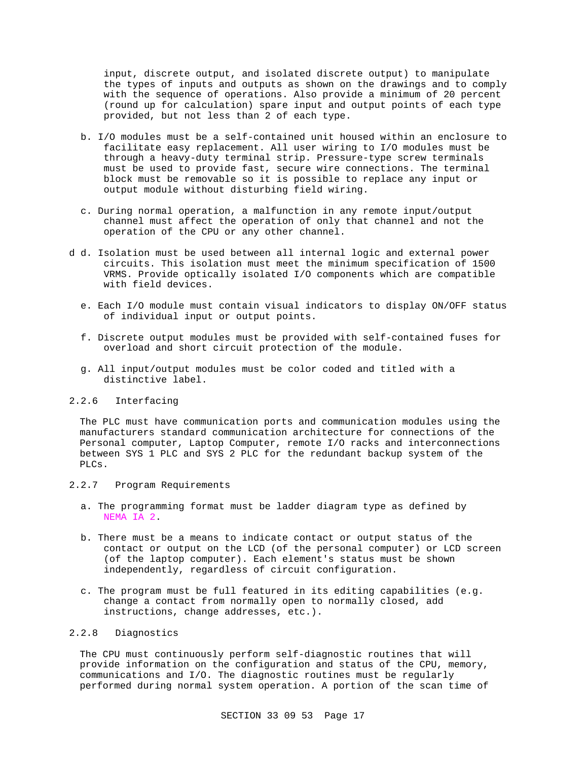input, discrete output, and isolated discrete output) to manipulate the types of inputs and outputs as shown on the drawings and to comply with the sequence of operations. Also provide a minimum of 20 percent (round up for calculation) spare input and output points of each type provided, but not less than 2 of each type.

- b. I/O modules must be a self-contained unit housed within an enclosure to facilitate easy replacement. All user wiring to I/O modules must be through a heavy-duty terminal strip. Pressure-type screw terminals must be used to provide fast, secure wire connections. The terminal block must be removable so it is possible to replace any input or output module without disturbing field wiring.
- c. During normal operation, a malfunction in any remote input/output channel must affect the operation of only that channel and not the operation of the CPU or any other channel.
- d d. Isolation must be used between all internal logic and external power circuits. This isolation must meet the minimum specification of 1500 VRMS. Provide optically isolated I/O components which are compatible with field devices.
	- e. Each I/O module must contain visual indicators to display ON/OFF status of individual input or output points.
	- f. Discrete output modules must be provided with self-contained fuses for overload and short circuit protection of the module.
	- g. All input/output modules must be color coded and titled with a distinctive label.

# 2.2.6 Interfacing

The PLC must have communication ports and communication modules using the manufacturers standard communication architecture for connections of the Personal computer, Laptop Computer, remote I/O racks and interconnections between SYS 1 PLC and SYS 2 PLC for the redundant backup system of the PLCs.

## 2.2.7 Program Requirements

- a. The programming format must be ladder diagram type as defined by NEMA IA 2.
- b. There must be a means to indicate contact or output status of the contact or output on the LCD (of the personal computer) or LCD screen (of the laptop computer). Each element's status must be shown independently, regardless of circuit configuration.
- c. The program must be full featured in its editing capabilities (e.g. change a contact from normally open to normally closed, add instructions, change addresses, etc.).

# 2.2.8 Diagnostics

The CPU must continuously perform self-diagnostic routines that will provide information on the configuration and status of the CPU, memory, communications and I/O. The diagnostic routines must be regularly performed during normal system operation. A portion of the scan time of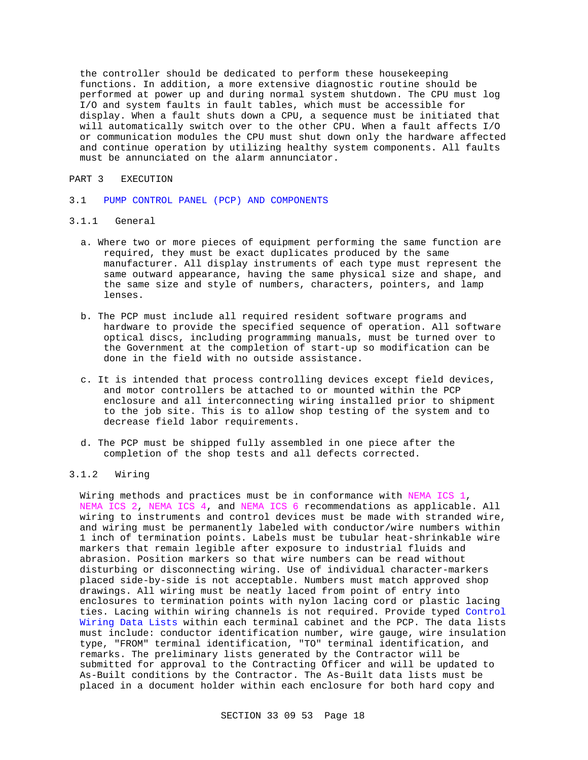the controller should be dedicated to perform these housekeeping functions. In addition, a more extensive diagnostic routine should be performed at power up and during normal system shutdown. The CPU must log I/O and system faults in fault tables, which must be accessible for display. When a fault shuts down a CPU, a sequence must be initiated that will automatically switch over to the other CPU. When a fault affects I/O or communication modules the CPU must shut down only the hardware affected and continue operation by utilizing healthy system components. All faults must be annunciated on the alarm annunciator.

#### PART 3 EXECUTION

3.1 PUMP CONTROL PANEL (PCP) AND COMPONENTS

#### 3.1.1 General

- a. Where two or more pieces of equipment performing the same function are required, they must be exact duplicates produced by the same manufacturer. All display instruments of each type must represent the same outward appearance, having the same physical size and shape, and the same size and style of numbers, characters, pointers, and lamp lenses.
- b. The PCP must include all required resident software programs and hardware to provide the specified sequence of operation. All software optical discs, including programming manuals, must be turned over to the Government at the completion of start-up so modification can be done in the field with no outside assistance.
- c. It is intended that process controlling devices except field devices, and motor controllers be attached to or mounted within the PCP enclosure and all interconnecting wiring installed prior to shipment to the job site. This is to allow shop testing of the system and to decrease field labor requirements.
- d. The PCP must be shipped fully assembled in one piece after the completion of the shop tests and all defects corrected.

# 3.1.2 Wiring

Wiring methods and practices must be in conformance with NEMA ICS 1, NEMA ICS 2, NEMA ICS 4, and NEMA ICS 6 recommendations as applicable. All wiring to instruments and control devices must be made with stranded wire, and wiring must be permanently labeled with conductor/wire numbers within 1 inch of termination points. Labels must be tubular heat-shrinkable wire markers that remain legible after exposure to industrial fluids and abrasion. Position markers so that wire numbers can be read without disturbing or disconnecting wiring. Use of individual character-markers placed side-by-side is not acceptable. Numbers must match approved shop drawings. All wiring must be neatly laced from point of entry into enclosures to termination points with nylon lacing cord or plastic lacing ties. Lacing within wiring channels is not required. Provide typed Control Wiring Data Lists within each terminal cabinet and the PCP. The data lists must include: conductor identification number, wire gauge, wire insulation type, "FROM" terminal identification, "TO" terminal identification, and remarks. The preliminary lists generated by the Contractor will be submitted for approval to the Contracting Officer and will be updated to As-Built conditions by the Contractor. The As-Built data lists must be placed in a document holder within each enclosure for both hard copy and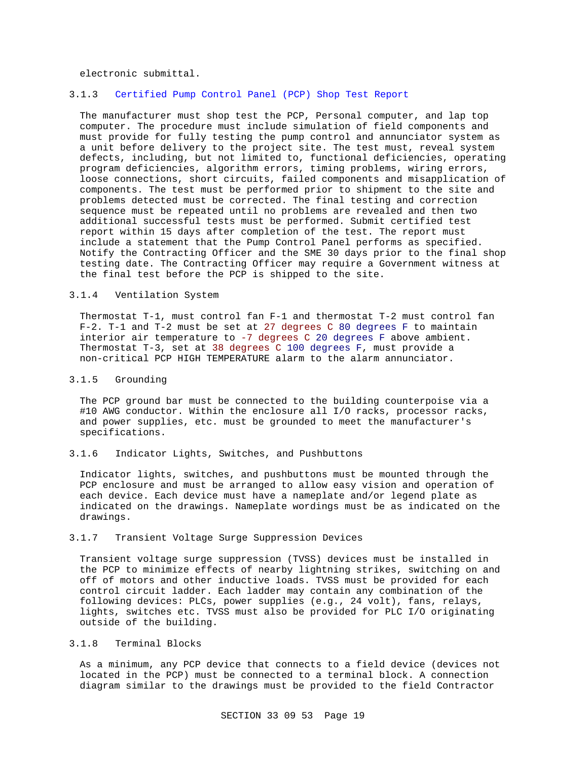electronic submittal.

# 3.1.3 Certified Pump Control Panel (PCP) Shop Test Report

The manufacturer must shop test the PCP, Personal computer, and lap top computer. The procedure must include simulation of field components and must provide for fully testing the pump control and annunciator system as a unit before delivery to the project site. The test must, reveal system defects, including, but not limited to, functional deficiencies, operating program deficiencies, algorithm errors, timing problems, wiring errors, loose connections, short circuits, failed components and misapplication of components. The test must be performed prior to shipment to the site and problems detected must be corrected. The final testing and correction sequence must be repeated until no problems are revealed and then two additional successful tests must be performed. Submit certified test report within 15 days after completion of the test. The report must include a statement that the Pump Control Panel performs as specified. Notify the Contracting Officer and the SME 30 days prior to the final shop testing date. The Contracting Officer may require a Government witness at the final test before the PCP is shipped to the site.

#### 3.1.4 Ventilation System

Thermostat T-1, must control fan F-1 and thermostat T-2 must control fan F-2. T-1 and T-2 must be set at 27 degrees C 80 degrees F to maintain interior air temperature to -7 degrees C 20 degrees F above ambient. Thermostat T-3, set at 38 degrees C 100 degrees F, must provide a non-critical PCP HIGH TEMPERATURE alarm to the alarm annunciator.

#### 3.1.5 Grounding

The PCP ground bar must be connected to the building counterpoise via a #10 AWG conductor. Within the enclosure all I/O racks, processor racks, and power supplies, etc. must be grounded to meet the manufacturer's specifications.

# 3.1.6 Indicator Lights, Switches, and Pushbuttons

Indicator lights, switches, and pushbuttons must be mounted through the PCP enclosure and must be arranged to allow easy vision and operation of each device. Each device must have a nameplate and/or legend plate as indicated on the drawings. Nameplate wordings must be as indicated on the drawings.

#### 3.1.7 Transient Voltage Surge Suppression Devices

Transient voltage surge suppression (TVSS) devices must be installed in the PCP to minimize effects of nearby lightning strikes, switching on and off of motors and other inductive loads. TVSS must be provided for each control circuit ladder. Each ladder may contain any combination of the following devices: PLCs, power supplies (e.g., 24 volt), fans, relays, lights, switches etc. TVSS must also be provided for PLC I/O originating outside of the building.

# 3.1.8 Terminal Blocks

As a minimum, any PCP device that connects to a field device (devices not located in the PCP) must be connected to a terminal block. A connection diagram similar to the drawings must be provided to the field Contractor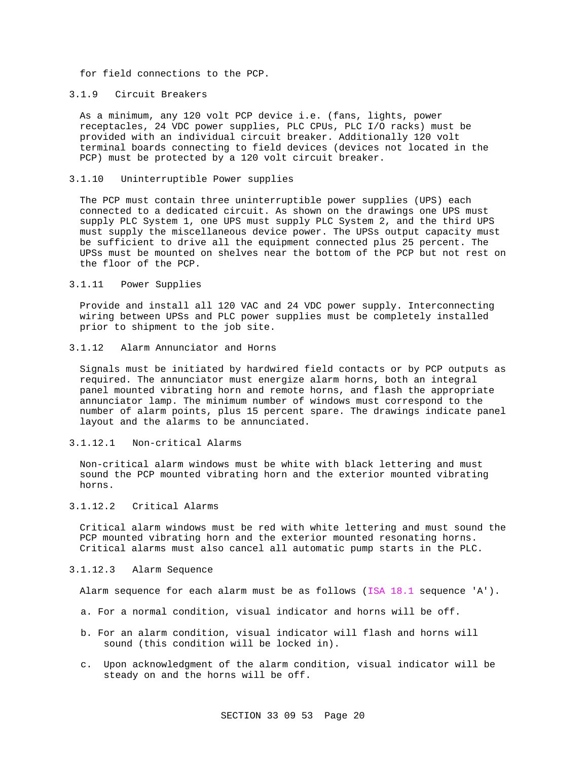for field connections to the PCP.

# 3.1.9 Circuit Breakers

As a minimum, any 120 volt PCP device i.e. (fans, lights, power receptacles, 24 VDC power supplies, PLC CPUs, PLC I/O racks) must be provided with an individual circuit breaker. Additionally 120 volt terminal boards connecting to field devices (devices not located in the PCP) must be protected by a 120 volt circuit breaker.

#### 3.1.10 Uninterruptible Power supplies

The PCP must contain three uninterruptible power supplies (UPS) each connected to a dedicated circuit. As shown on the drawings one UPS must supply PLC System 1, one UPS must supply PLC System 2, and the third UPS must supply the miscellaneous device power. The UPSs output capacity must be sufficient to drive all the equipment connected plus 25 percent. The UPSs must be mounted on shelves near the bottom of the PCP but not rest on the floor of the PCP.

# 3.1.11 Power Supplies

Provide and install all 120 VAC and 24 VDC power supply. Interconnecting wiring between UPSs and PLC power supplies must be completely installed prior to shipment to the job site.

#### 3.1.12 Alarm Annunciator and Horns

Signals must be initiated by hardwired field contacts or by PCP outputs as required. The annunciator must energize alarm horns, both an integral panel mounted vibrating horn and remote horns, and flash the appropriate annunciator lamp. The minimum number of windows must correspond to the number of alarm points, plus 15 percent spare. The drawings indicate panel layout and the alarms to be annunciated.

#### 3.1.12.1 Non-critical Alarms

Non-critical alarm windows must be white with black lettering and must sound the PCP mounted vibrating horn and the exterior mounted vibrating horns.

### 3.1.12.2 Critical Alarms

Critical alarm windows must be red with white lettering and must sound the PCP mounted vibrating horn and the exterior mounted resonating horns. Critical alarms must also cancel all automatic pump starts in the PLC.

# 3.1.12.3 Alarm Sequence

Alarm sequence for each alarm must be as follows (ISA 18.1 sequence 'A').

- a. For a normal condition, visual indicator and horns will be off.
- b. For an alarm condition, visual indicator will flash and horns will sound (this condition will be locked in).
- c. Upon acknowledgment of the alarm condition, visual indicator will be steady on and the horns will be off.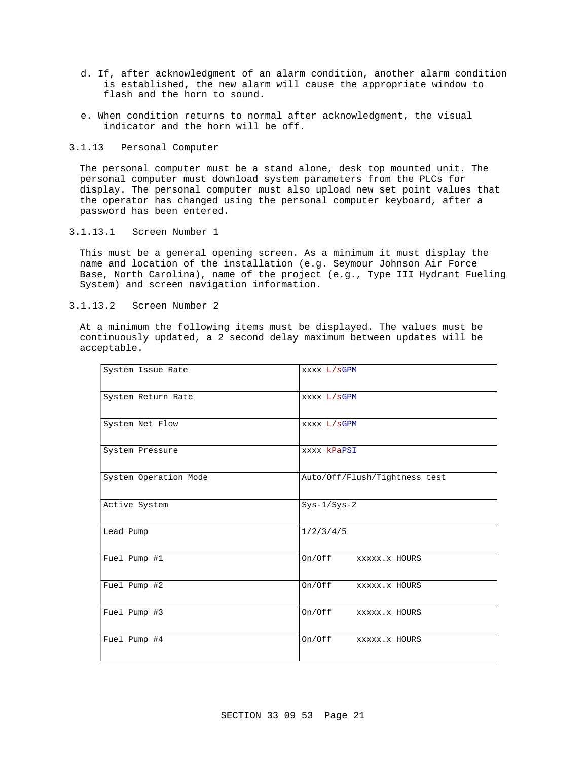- d. If, after acknowledgment of an alarm condition, another alarm condition is established, the new alarm will cause the appropriate window to flash and the horn to sound.
- e. When condition returns to normal after acknowledgment, the visual indicator and the horn will be off.
- 3.1.13 Personal Computer

The personal computer must be a stand alone, desk top mounted unit. The personal computer must download system parameters from the PLCs for display. The personal computer must also upload new set point values that the operator has changed using the personal computer keyboard, after a password has been entered.

3.1.13.1 Screen Number 1

This must be a general opening screen. As a minimum it must display the name and location of the installation (e.g. Seymour Johnson Air Force Base, North Carolina), name of the project (e.g., Type III Hydrant Fueling System) and screen navigation information.

3.1.13.2 Screen Number 2

At a minimum the following items must be displayed. The values must be continuously updated, a 2 second delay maximum between updates will be acceptable.

| System Issue Rate     | XXXX L/SGPM                   |  |  |
|-----------------------|-------------------------------|--|--|
| System Return Rate    | XXXX L/SGPM                   |  |  |
| System Net Flow       | XXXX L/SGPM                   |  |  |
| System Pressure       | xxxx kPaPSI                   |  |  |
| System Operation Mode | Auto/Off/Flush/Tightness test |  |  |
| Active System         | $Sys-1/Sys-2$                 |  |  |
| Lead Pump             | 1/2/3/4/5                     |  |  |
| Fuel Pump #1          | On/Off<br>XXXXX.X HOURS       |  |  |
| Fuel Pump #2          | On/Off<br>XXXXX.X HOURS       |  |  |
| Fuel Pump #3          | On/Off<br>XXXXX.X HOURS       |  |  |
| Fuel Pump #4          | On/Off<br>XXXXX.X HOURS       |  |  |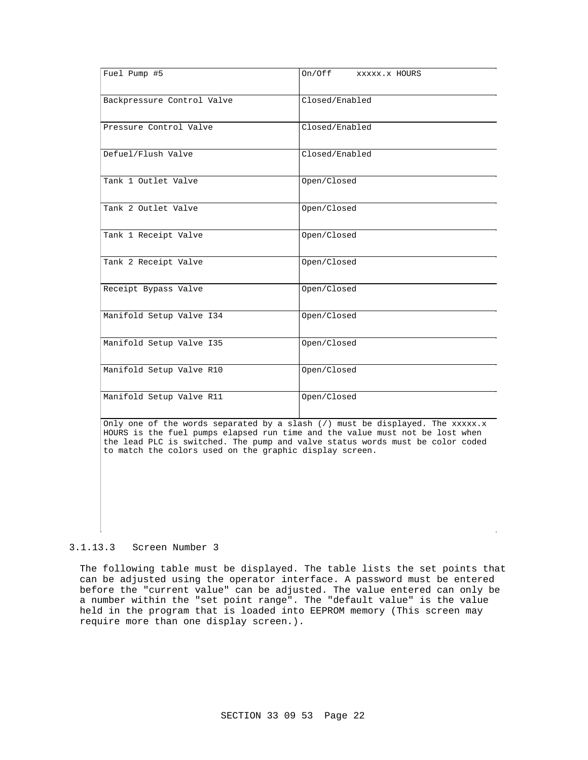| Fuel Pump #5               | On/Off<br>XXXXX.X HOURS |  |  |
|----------------------------|-------------------------|--|--|
| Backpressure Control Valve | Closed/Enabled          |  |  |
| Pressure Control Valve     | Closed/Enabled          |  |  |
| Defuel/Flush Valve         | Closed/Enabled          |  |  |
| Tank 1 Outlet Valve        | Open/Closed             |  |  |
| Tank 2 Outlet Valve        | Open/Closed             |  |  |
| Tank 1 Receipt Valve       | Open/Closed             |  |  |
| Tank 2 Receipt Valve       | Open/Closed             |  |  |
| Receipt Bypass Valve       | Open/Closed             |  |  |
| Manifold Setup Valve I34   | Open/Closed             |  |  |
| Manifold Setup Valve I35   | Open/Closed             |  |  |
| Manifold Setup Valve R10   | Open/Closed             |  |  |
| Manifold Setup Valve R11   | Open/Closed             |  |  |

Only one of the words separated by a slash  $\binom{7}{1}$  must be displayed. The xxxxx.x HOURS is the fuel pumps elapsed run time and the value must not be lost when the lead PLC is switched. The pump and valve status words must be color coded to match the colors used on the graphic display screen.

#### 3.1.13.3 Screen Number 3

The following table must be displayed. The table lists the set points that can be adjusted using the operator interface. A password must be entered before the "current value" can be adjusted. The value entered can only be a number within the "set point range". The "default value" is the value held in the program that is loaded into EEPROM memory (This screen may require more than one display screen.).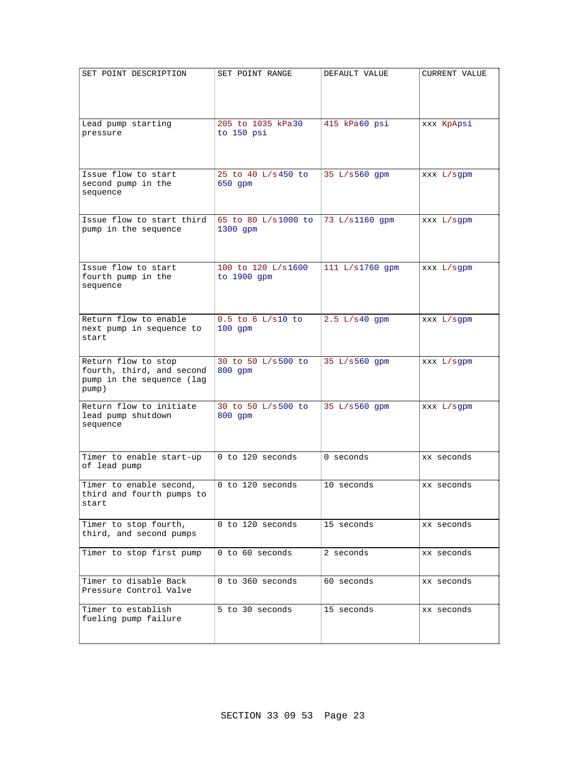| SET POINT DESCRIPTION                     | SET POINT RANGE     | DEFAULT VALUE   | <b>CURRENT VALUE</b> |
|-------------------------------------------|---------------------|-----------------|----------------------|
|                                           |                     |                 |                      |
|                                           |                     |                 |                      |
|                                           |                     |                 |                      |
| Lead pump starting                        | 205 to 1035 kPa30   | 415 kPa60 psi   | xxx KpApsi           |
| pressure                                  | to 150 psi          |                 |                      |
|                                           |                     |                 |                      |
|                                           |                     |                 |                      |
| Issue flow to start                       | 25 to 40 L/s 450 to | 35 L/s560 qpm   | XXX L/sqpm           |
| second pump in the                        | 650 gpm             |                 |                      |
| sequence                                  |                     |                 |                      |
|                                           |                     |                 |                      |
| Issue flow to start third                 | 65 to 80 L/s1000 to | 73 L/s1160 gpm  | XXX L/sqpm           |
| pump in the sequence                      | 1300 gpm            |                 |                      |
|                                           |                     |                 |                      |
|                                           |                     |                 |                      |
| Issue flow to start<br>fourth pump in the | 100 to 120 L/s1600  | 111 L/s1760 gpm | xxx L/sgpm           |
| sequence                                  | to 1900 gpm         |                 |                      |
|                                           |                     |                 |                      |
|                                           |                     |                 |                      |
| Return flow to enable                     | $0.5$ to 6 L/s10 to | $2.5 L/s40$ qpm | xxx L/sgpm           |
| next pump in sequence to<br>start         | $100$ qpm           |                 |                      |
|                                           |                     |                 |                      |
| Return flow to stop                       | 30 to 50 L/s500 to  | 35 L/s560 qpm   | XXX L/sgpm           |
| fourth, third, and second                 | 800 qpm             |                 |                      |
| pump in the sequence (lag                 |                     |                 |                      |
| pump)                                     |                     |                 |                      |
| Return flow to initiate                   | 30 to 50 L/s500 to  | 35 L/s560 gpm   | $XXX L / s$ gpm      |
| lead pump shutdown<br>sequence            | $800$ qpm           |                 |                      |
|                                           |                     |                 |                      |
|                                           |                     |                 |                      |
| Timer to enable start-up                  | 0 to 120 seconds    | 0 seconds       | xx seconds           |
| of lead pump                              |                     |                 |                      |
| Timer to enable second,                   | 0 to 120 seconds    | 10 seconds      | xx seconds           |
| third and fourth pumps to                 |                     |                 |                      |
| start                                     |                     |                 |                      |
| Timer to stop fourth,                     | 0 to 120 seconds    | 15 seconds      | xx seconds           |
| third, and second pumps                   |                     |                 |                      |
|                                           |                     |                 |                      |
| Timer to stop first pump                  | 0 to 60 seconds     | 2 seconds       | xx seconds           |
|                                           |                     |                 |                      |
| Timer to disable Back                     | 0 to 360 seconds    | 60 seconds      | xx seconds           |
| Pressure Control Valve                    |                     |                 |                      |
| Timer to establish                        | 5 to 30 seconds     | 15 seconds      | xx seconds           |
| fueling pump failure                      |                     |                 |                      |
|                                           |                     |                 |                      |
|                                           |                     |                 |                      |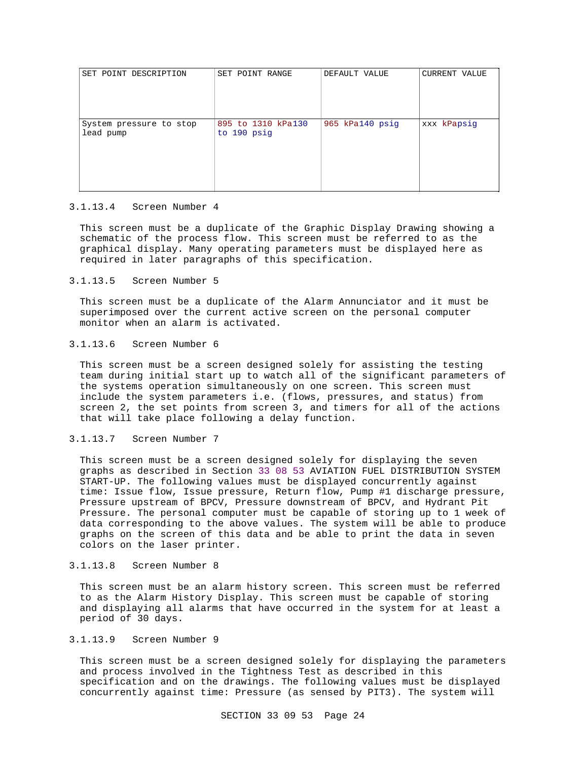| SET POINT DESCRIPTION                | SET POINT RANGE                   | DEFAULT VALUE   | CURRENT VALUE |
|--------------------------------------|-----------------------------------|-----------------|---------------|
| System pressure to stop<br>lead pump | 895 to 1310 kPa130<br>to 190 psig | 965 kPa140 psig | xxx kPapsig   |

#### 3.1.13.4 Screen Number 4

This screen must be a duplicate of the Graphic Display Drawing showing a schematic of the process flow. This screen must be referred to as the graphical display. Many operating parameters must be displayed here as required in later paragraphs of this specification.

### 3.1.13.5 Screen Number 5

This screen must be a duplicate of the Alarm Annunciator and it must be superimposed over the current active screen on the personal computer monitor when an alarm is activated.

# 3.1.13.6 Screen Number 6

This screen must be a screen designed solely for assisting the testing team during initial start up to watch all of the significant parameters of the systems operation simultaneously on one screen. This screen must include the system parameters i.e. (flows, pressures, and status) from screen 2, the set points from screen 3, and timers for all of the actions that will take place following a delay function.

#### 3.1.13.7 Screen Number 7

This screen must be a screen designed solely for displaying the seven graphs as described in Section 33 08 53 AVIATION FUEL DISTRIBUTION SYSTEM START-UP. The following values must be displayed concurrently against time: Issue flow, Issue pressure, Return flow, Pump #1 discharge pressure, Pressure upstream of BPCV, Pressure downstream of BPCV, and Hydrant Pit Pressure. The personal computer must be capable of storing up to 1 week of data corresponding to the above values. The system will be able to produce graphs on the screen of this data and be able to print the data in seven colors on the laser printer.

### 3.1.13.8 Screen Number 8

This screen must be an alarm history screen. This screen must be referred to as the Alarm History Display. This screen must be capable of storing and displaying all alarms that have occurred in the system for at least a period of 30 days.

#### 3.1.13.9 Screen Number 9

This screen must be a screen designed solely for displaying the parameters and process involved in the Tightness Test as described in this specification and on the drawings. The following values must be displayed concurrently against time: Pressure (as sensed by PIT3). The system will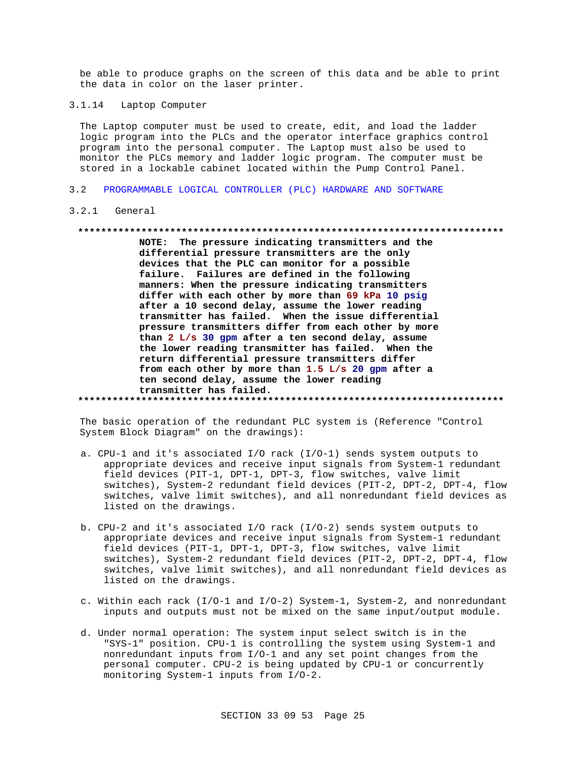be able to produce graphs on the screen of this data and be able to print the data in color on the laser printer.

3.1.14 Laptop Computer

The Laptop computer must be used to create, edit, and load the ladder logic program into the PLCs and the operator interface graphics control program into the personal computer. The Laptop must also be used to monitor the PLCs memory and ladder logic program. The computer must be stored in a lockable cabinet located within the Pump Control Panel.

3.2 PROGRAMMABLE LOGICAL CONTROLLER (PLC) HARDWARE AND SOFTWARE

#### 3.2.1 General

#### **\*\*\*\*\*\*\*\*\*\*\*\*\*\*\*\*\*\*\*\*\*\*\*\*\*\*\*\*\*\*\*\*\*\*\*\*\*\*\*\*\*\*\*\*\*\*\*\*\*\*\*\*\*\*\*\*\*\*\*\*\*\*\*\*\*\*\*\*\*\*\*\*\*\***

**NOTE: The pressure indicating transmitters and the differential pressure transmitters are the only devices that the PLC can monitor for a possible failure. Failures are defined in the following manners: When the pressure indicating transmitters differ with each other by more than 69 kPa 10 psig after a 10 second delay, assume the lower reading transmitter has failed. When the issue differential pressure transmitters differ from each other by more than 2 L/s 30 gpm after a ten second delay, assume the lower reading transmitter has failed. When the return differential pressure transmitters differ from each other by more than 1.5 L/s 20 gpm after a ten second delay, assume the lower reading transmitter has failed. \*\*\*\*\*\*\*\*\*\*\*\*\*\*\*\*\*\*\*\*\*\*\*\*\*\*\*\*\*\*\*\*\*\*\*\*\*\*\*\*\*\*\*\*\*\*\*\*\*\*\*\*\*\*\*\*\*\*\*\*\*\*\*\*\*\*\*\*\*\*\*\*\*\***

The basic operation of the redundant PLC system is (Reference "Control System Block Diagram" on the drawings):

- a. CPU-1 and it's associated I/O rack (I/O-1) sends system outputs to appropriate devices and receive input signals from System-1 redundant field devices (PIT-1, DPT-1, DPT-3, flow switches, valve limit switches), System-2 redundant field devices (PIT-2, DPT-2, DPT-4, flow switches, valve limit switches), and all nonredundant field devices as listed on the drawings.
- b. CPU-2 and it's associated I/O rack (I/O-2) sends system outputs to appropriate devices and receive input signals from System-1 redundant field devices (PIT-1, DPT-1, DPT-3, flow switches, valve limit switches), System-2 redundant field devices (PIT-2, DPT-2, DPT-4, flow switches, valve limit switches), and all nonredundant field devices as listed on the drawings.
- c. Within each rack (I/O-1 and I/O-2) System-1, System-2, and nonredundant inputs and outputs must not be mixed on the same input/output module.
- d. Under normal operation: The system input select switch is in the "SYS-1" position. CPU-1 is controlling the system using System-1 and nonredundant inputs from I/O-1 and any set point changes from the personal computer. CPU-2 is being updated by CPU-1 or concurrently monitoring System-1 inputs from I/O-2.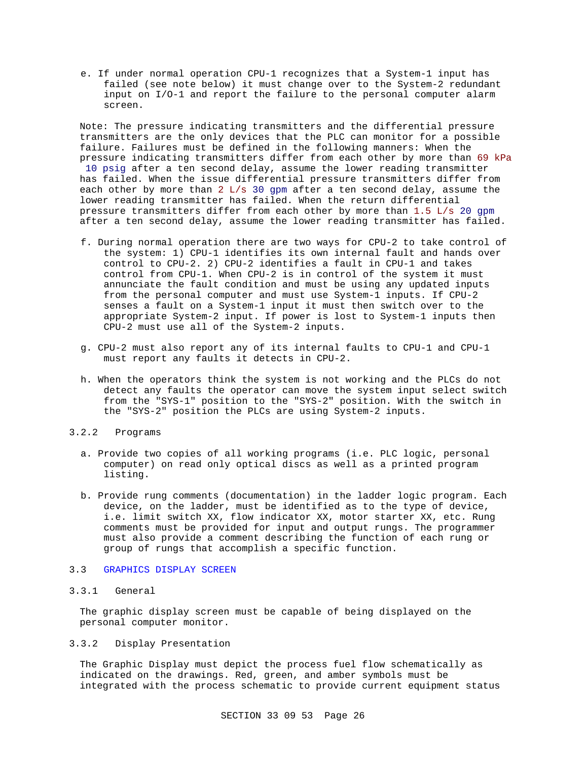e. If under normal operation CPU-1 recognizes that a System-1 input has failed (see note below) it must change over to the System-2 redundant input on I/O-1 and report the failure to the personal computer alarm screen.

Note: The pressure indicating transmitters and the differential pressure transmitters are the only devices that the PLC can monitor for a possible failure. Failures must be defined in the following manners: When the pressure indicating transmitters differ from each other by more than 69 kPa 10 psig after a ten second delay, assume the lower reading transmitter has failed. When the issue differential pressure transmitters differ from each other by more than 2 L/s 30 gpm after a ten second delay, assume the lower reading transmitter has failed. When the return differential pressure transmitters differ from each other by more than 1.5 L/s 20 gpm after a ten second delay, assume the lower reading transmitter has failed.

- f. During normal operation there are two ways for CPU-2 to take control of the system: 1) CPU-1 identifies its own internal fault and hands over control to CPU-2. 2) CPU-2 identifies a fault in CPU-1 and takes control from CPU-1. When CPU-2 is in control of the system it must annunciate the fault condition and must be using any updated inputs from the personal computer and must use System-1 inputs. If CPU-2 senses a fault on a System-1 input it must then switch over to the appropriate System-2 input. If power is lost to System-1 inputs then CPU-2 must use all of the System-2 inputs.
- g. CPU-2 must also report any of its internal faults to CPU-1 and CPU-1 must report any faults it detects in CPU-2.
- h. When the operators think the system is not working and the PLCs do not detect any faults the operator can move the system input select switch from the "SYS-1" position to the "SYS-2" position. With the switch in the "SYS-2" position the PLCs are using System-2 inputs.
- 3.2.2 Programs
	- a. Provide two copies of all working programs (i.e. PLC logic, personal computer) on read only optical discs as well as a printed program listing.
	- b. Provide rung comments (documentation) in the ladder logic program. Each device, on the ladder, must be identified as to the type of device, i.e. limit switch XX, flow indicator XX, motor starter XX, etc. Rung comments must be provided for input and output rungs. The programmer must also provide a comment describing the function of each rung or group of rungs that accomplish a specific function.

# 3.3 GRAPHICS DISPLAY SCREEN

## 3.3.1 General

The graphic display screen must be capable of being displayed on the personal computer monitor.

# 3.3.2 Display Presentation

The Graphic Display must depict the process fuel flow schematically as indicated on the drawings. Red, green, and amber symbols must be integrated with the process schematic to provide current equipment status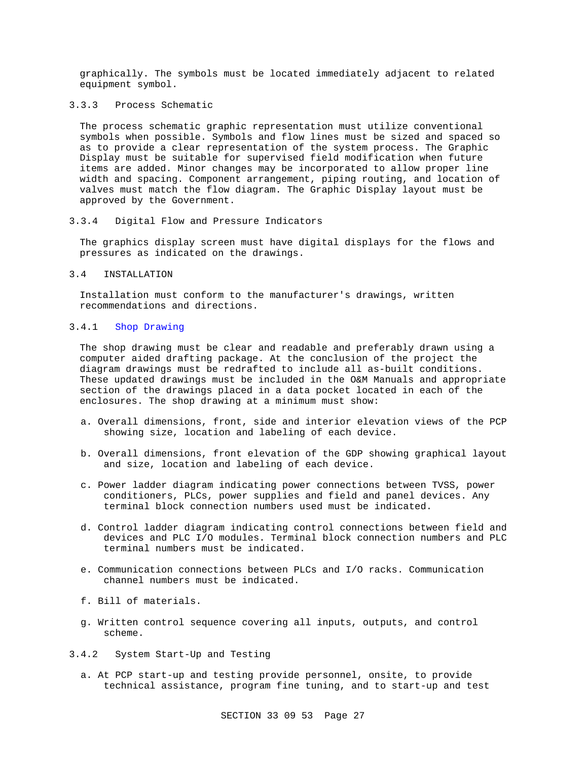graphically. The symbols must be located immediately adjacent to related equipment symbol.

# 3.3.3 Process Schematic

The process schematic graphic representation must utilize conventional symbols when possible. Symbols and flow lines must be sized and spaced so as to provide a clear representation of the system process. The Graphic Display must be suitable for supervised field modification when future items are added. Minor changes may be incorporated to allow proper line width and spacing. Component arrangement, piping routing, and location of valves must match the flow diagram. The Graphic Display layout must be approved by the Government.

#### 3.3.4 Digital Flow and Pressure Indicators

The graphics display screen must have digital displays for the flows and pressures as indicated on the drawings.

# 3.4 INSTALLATION

Installation must conform to the manufacturer's drawings, written recommendations and directions.

# 3.4.1 Shop Drawing

The shop drawing must be clear and readable and preferably drawn using a computer aided drafting package. At the conclusion of the project the diagram drawings must be redrafted to include all as-built conditions. These updated drawings must be included in the O&M Manuals and appropriate section of the drawings placed in a data pocket located in each of the enclosures. The shop drawing at a minimum must show:

- a. Overall dimensions, front, side and interior elevation views of the PCP showing size, location and labeling of each device.
- b. Overall dimensions, front elevation of the GDP showing graphical layout and size, location and labeling of each device.
- c. Power ladder diagram indicating power connections between TVSS, power conditioners, PLCs, power supplies and field and panel devices. Any terminal block connection numbers used must be indicated.
- d. Control ladder diagram indicating control connections between field and devices and PLC I/O modules. Terminal block connection numbers and PLC terminal numbers must be indicated.
- e. Communication connections between PLCs and I/O racks. Communication channel numbers must be indicated.
- f. Bill of materials.
- g. Written control sequence covering all inputs, outputs, and control scheme.
- 3.4.2 System Start-Up and Testing
	- a. At PCP start-up and testing provide personnel, onsite, to provide technical assistance, program fine tuning, and to start-up and test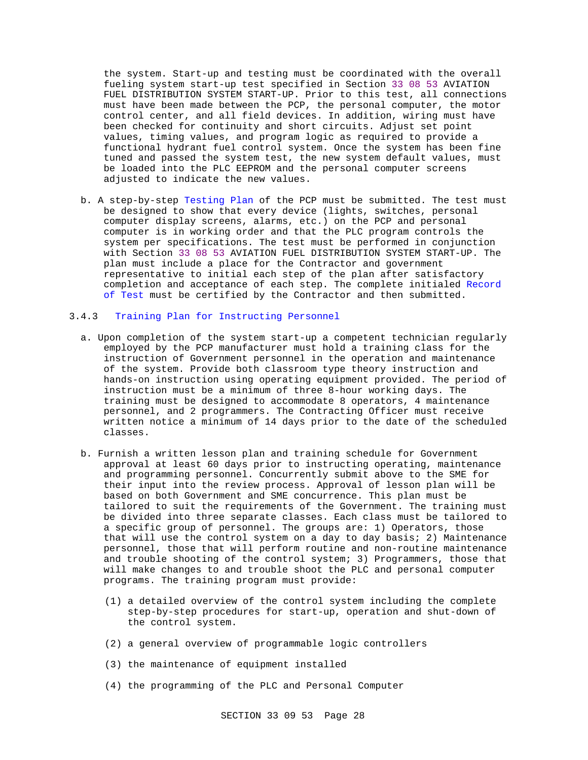the system. Start-up and testing must be coordinated with the overall fueling system start-up test specified in Section 33 08 53 AVIATION FUEL DISTRIBUTION SYSTEM START-UP. Prior to this test, all connections must have been made between the PCP, the personal computer, the motor control center, and all field devices. In addition, wiring must have been checked for continuity and short circuits. Adjust set point values, timing values, and program logic as required to provide a functional hydrant fuel control system. Once the system has been fine tuned and passed the system test, the new system default values, must be loaded into the PLC EEPROM and the personal computer screens adjusted to indicate the new values.

b. A step-by-step Testing Plan of the PCP must be submitted. The test must be designed to show that every device (lights, switches, personal computer display screens, alarms, etc.) on the PCP and personal computer is in working order and that the PLC program controls the system per specifications. The test must be performed in conjunction with Section 33 08 53 AVIATION FUEL DISTRIBUTION SYSTEM START-UP. The plan must include a place for the Contractor and government representative to initial each step of the plan after satisfactory completion and acceptance of each step. The complete initialed Record of Test must be certified by the Contractor and then submitted.

#### 3.4.3 Training Plan for Instructing Personnel

- a. Upon completion of the system start-up a competent technician regularly employed by the PCP manufacturer must hold a training class for the instruction of Government personnel in the operation and maintenance of the system. Provide both classroom type theory instruction and hands-on instruction using operating equipment provided. The period of instruction must be a minimum of three 8-hour working days. The training must be designed to accommodate 8 operators, 4 maintenance personnel, and 2 programmers. The Contracting Officer must receive written notice a minimum of 14 days prior to the date of the scheduled classes.
- b. Furnish a written lesson plan and training schedule for Government approval at least 60 days prior to instructing operating, maintenance and programming personnel. Concurrently submit above to the SME for their input into the review process. Approval of lesson plan will be based on both Government and SME concurrence. This plan must be tailored to suit the requirements of the Government. The training must be divided into three separate classes. Each class must be tailored to a specific group of personnel. The groups are: 1) Operators, those that will use the control system on a day to day basis; 2) Maintenance personnel, those that will perform routine and non-routine maintenance and trouble shooting of the control system; 3) Programmers, those that will make changes to and trouble shoot the PLC and personal computer programs. The training program must provide:
	- (1) a detailed overview of the control system including the complete step-by-step procedures for start-up, operation and shut-down of the control system.
	- (2) a general overview of programmable logic controllers
	- (3) the maintenance of equipment installed
	- (4) the programming of the PLC and Personal Computer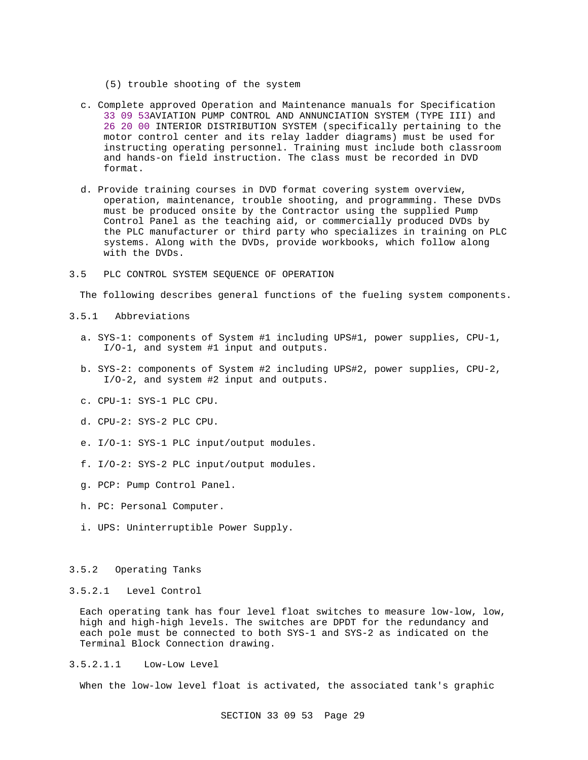- (5) trouble shooting of the system
- c. Complete approved Operation and Maintenance manuals for Specification 33 09 53AVIATION PUMP CONTROL AND ANNUNCIATION SYSTEM (TYPE III) and 26 20 00 INTERIOR DISTRIBUTION SYSTEM (specifically pertaining to the motor control center and its relay ladder diagrams) must be used for instructing operating personnel. Training must include both classroom and hands-on field instruction. The class must be recorded in DVD format.
- d. Provide training courses in DVD format covering system overview, operation, maintenance, trouble shooting, and programming. These DVDs must be produced onsite by the Contractor using the supplied Pump Control Panel as the teaching aid, or commercially produced DVDs by the PLC manufacturer or third party who specializes in training on PLC systems. Along with the DVDs, provide workbooks, which follow along with the DVDs.
- 3.5 PLC CONTROL SYSTEM SEQUENCE OF OPERATION

The following describes general functions of the fueling system components.

- 3.5.1 Abbreviations
	- a. SYS-1: components of System #1 including UPS#1, power supplies, CPU-1, I/O-1, and system #1 input and outputs.
	- b. SYS-2: components of System #2 including UPS#2, power supplies, CPU-2, I/O-2, and system #2 input and outputs.
	- c. CPU-1: SYS-1 PLC CPU.
	- d. CPU-2: SYS-2 PLC CPU.
	- e. I/O-1: SYS-1 PLC input/output modules.
	- f. I/O-2: SYS-2 PLC input/output modules.
	- g. PCP: Pump Control Panel.
	- h. PC: Personal Computer.
	- i. UPS: Uninterruptible Power Supply.

# 3.5.2 Operating Tanks

#### 3.5.2.1 Level Control

Each operating tank has four level float switches to measure low-low, low, high and high-high levels. The switches are DPDT for the redundancy and each pole must be connected to both SYS-1 and SYS-2 as indicated on the Terminal Block Connection drawing.

3.5.2.1.1 Low-Low Level

When the low-low level float is activated, the associated tank's graphic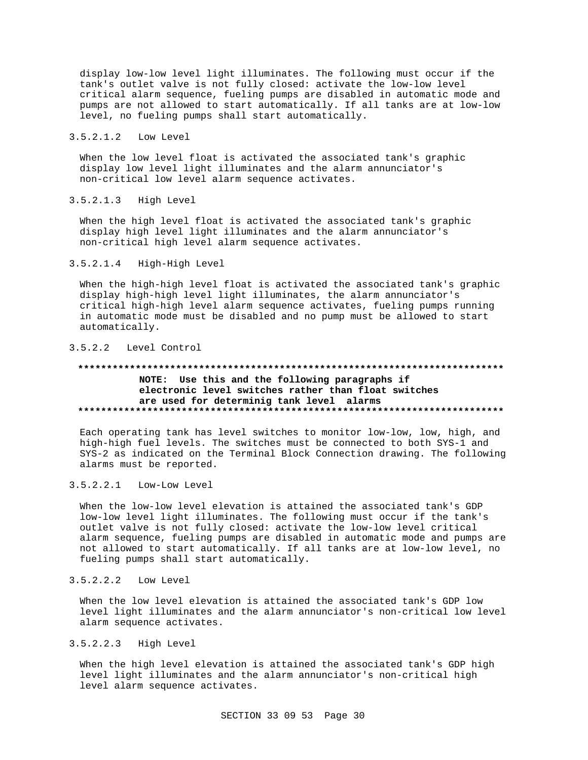display low-low level light illuminates. The following must occur if the tank's outlet valve is not fully closed: activate the low-low level critical alarm sequence, fueling pumps are disabled in automatic mode and pumps are not allowed to start automatically. If all tanks are at low-low level, no fueling pumps shall start automatically.

#### 3.5.2.1.2 Low Level

When the low level float is activated the associated tank's graphic display low level light illuminates and the alarm annunciator's non-critical low level alarm sequence activates.

3.5.2.1.3 High Level

When the high level float is activated the associated tank's graphic display high level light illuminates and the alarm annunciator's non-critical high level alarm sequence activates.

3.5.2.1.4 High-High Level

When the high-high level float is activated the associated tank's graphic display high-high level light illuminates, the alarm annunciator's critical high-high level alarm sequence activates, fueling pumps running in automatic mode must be disabled and no pump must be allowed to start automatically.

# 3.5.2.2 Level Control

#### **\*\*\*\*\*\*\*\*\*\*\*\*\*\*\*\*\*\*\*\*\*\*\*\*\*\*\*\*\*\*\*\*\*\*\*\*\*\*\*\*\*\*\*\*\*\*\*\*\*\*\*\*\*\*\*\*\*\*\*\*\*\*\*\*\*\*\*\*\*\*\*\*\*\***

# **NOTE: Use this and the following paragraphs if electronic level switches rather than float switches are used for determinig tank level alarms \*\*\*\*\*\*\*\*\*\*\*\*\*\*\*\*\*\*\*\*\*\*\*\*\*\*\*\*\*\*\*\*\*\*\*\*\*\*\*\*\*\*\*\*\*\*\*\*\*\*\*\*\*\*\*\*\*\*\*\*\*\*\*\*\*\*\*\*\*\*\*\*\*\***

Each operating tank has level switches to monitor low-low, low, high, and high-high fuel levels. The switches must be connected to both SYS-1 and SYS-2 as indicated on the Terminal Block Connection drawing. The following alarms must be reported.

#### 3.5.2.2.1 Low-Low Level

When the low-low level elevation is attained the associated tank's GDP low-low level light illuminates. The following must occur if the tank's outlet valve is not fully closed: activate the low-low level critical alarm sequence, fueling pumps are disabled in automatic mode and pumps are not allowed to start automatically. If all tanks are at low-low level, no fueling pumps shall start automatically.

3.5.2.2.2 Low Level

When the low level elevation is attained the associated tank's GDP low level light illuminates and the alarm annunciator's non-critical low level alarm sequence activates.

# 3.5.2.2.3 High Level

When the high level elevation is attained the associated tank's GDP high level light illuminates and the alarm annunciator's non-critical high level alarm sequence activates.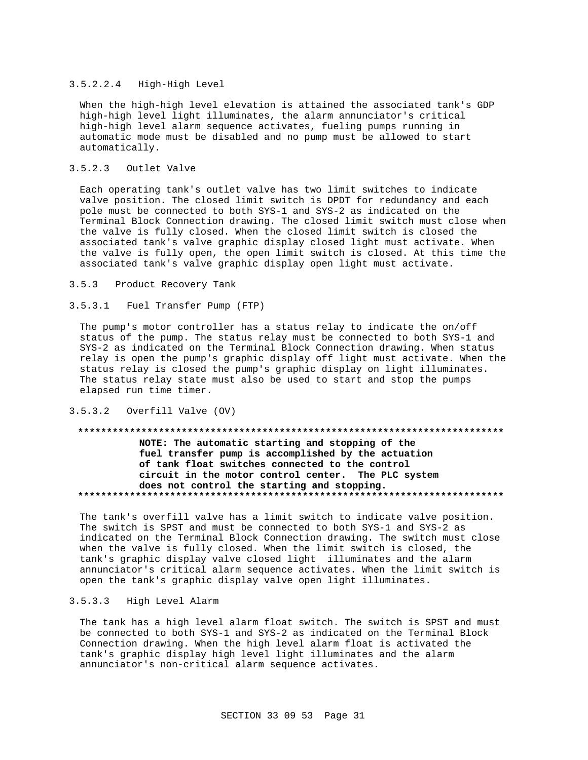#### 3.5.2.2.4 High-High Level

When the high-high level elevation is attained the associated tank's GDP high-high level light illuminates, the alarm annunciator's critical high-high level alarm sequence activates, fueling pumps running in automatic mode must be disabled and no pump must be allowed to start automatically.

# 3.5.2.3 Outlet Valve

Each operating tank's outlet valve has two limit switches to indicate valve position. The closed limit switch is DPDT for redundancy and each pole must be connected to both SYS-1 and SYS-2 as indicated on the Terminal Block Connection drawing. The closed limit switch must close when the valve is fully closed. When the closed limit switch is closed the associated tank's valve graphic display closed light must activate. When the valve is fully open, the open limit switch is closed. At this time the associated tank's valve graphic display open light must activate.

#### 3.5.3 Product Recovery Tank

#### 3.5.3.1 Fuel Transfer Pump (FTP)

The pump's motor controller has a status relay to indicate the on/off status of the pump. The status relay must be connected to both SYS-1 and SYS-2 as indicated on the Terminal Block Connection drawing. When status relay is open the pump's graphic display off light must activate. When the status relay is closed the pump's graphic display on light illuminates. The status relay state must also be used to start and stop the pumps elapsed run time timer.

### 3.5.3.2 Overfill Valve (OV)

# **\*\*\*\*\*\*\*\*\*\*\*\*\*\*\*\*\*\*\*\*\*\*\*\*\*\*\*\*\*\*\*\*\*\*\*\*\*\*\*\*\*\*\*\*\*\*\*\*\*\*\*\*\*\*\*\*\*\*\*\*\*\*\*\*\*\*\*\*\*\*\*\*\*\* NOTE: The automatic starting and stopping of the fuel transfer pump is accomplished by the actuation of tank float switches connected to the control circuit in the motor control center. The PLC system does not control the starting and stopping. \*\*\*\*\*\*\*\*\*\*\*\*\*\*\*\*\*\*\*\*\*\*\*\*\*\*\*\*\*\*\*\*\*\*\*\*\*\*\*\*\*\*\*\*\*\*\*\*\*\*\*\*\*\*\*\*\*\*\*\*\*\*\*\*\*\*\*\*\*\*\*\*\*\***

The tank's overfill valve has a limit switch to indicate valve position. The switch is SPST and must be connected to both SYS-1 and SYS-2 as indicated on the Terminal Block Connection drawing. The switch must close when the valve is fully closed. When the limit switch is closed, the tank's graphic display valve closed light illuminates and the alarm annunciator's critical alarm sequence activates. When the limit switch is open the tank's graphic display valve open light illuminates.

# 3.5.3.3 High Level Alarm

The tank has a high level alarm float switch. The switch is SPST and must be connected to both SYS-1 and SYS-2 as indicated on the Terminal Block Connection drawing. When the high level alarm float is activated the tank's graphic display high level light illuminates and the alarm annunciator's non-critical alarm sequence activates.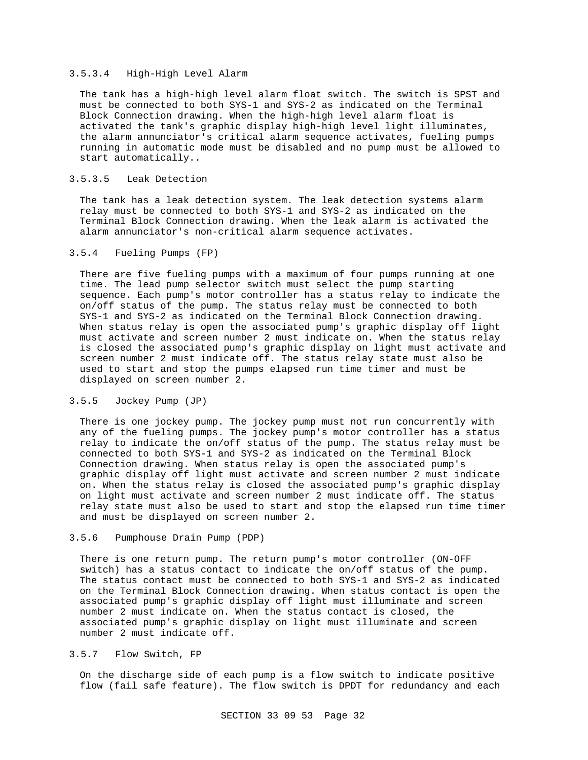### 3.5.3.4 High-High Level Alarm

The tank has a high-high level alarm float switch. The switch is SPST and must be connected to both SYS-1 and SYS-2 as indicated on the Terminal Block Connection drawing. When the high-high level alarm float is activated the tank's graphic display high-high level light illuminates, the alarm annunciator's critical alarm sequence activates, fueling pumps running in automatic mode must be disabled and no pump must be allowed to start automatically..

## 3.5.3.5 Leak Detection

The tank has a leak detection system. The leak detection systems alarm relay must be connected to both SYS-1 and SYS-2 as indicated on the Terminal Block Connection drawing. When the leak alarm is activated the alarm annunciator's non-critical alarm sequence activates.

## 3.5.4 Fueling Pumps (FP)

There are five fueling pumps with a maximum of four pumps running at one time. The lead pump selector switch must select the pump starting sequence. Each pump's motor controller has a status relay to indicate the on/off status of the pump. The status relay must be connected to both SYS-1 and SYS-2 as indicated on the Terminal Block Connection drawing. When status relay is open the associated pump's graphic display off light must activate and screen number 2 must indicate on. When the status relay is closed the associated pump's graphic display on light must activate and screen number 2 must indicate off. The status relay state must also be used to start and stop the pumps elapsed run time timer and must be displayed on screen number 2.

## 3.5.5 Jockey Pump (JP)

There is one jockey pump. The jockey pump must not run concurrently with any of the fueling pumps. The jockey pump's motor controller has a status relay to indicate the on/off status of the pump. The status relay must be connected to both SYS-1 and SYS-2 as indicated on the Terminal Block Connection drawing. When status relay is open the associated pump's graphic display off light must activate and screen number 2 must indicate on. When the status relay is closed the associated pump's graphic display on light must activate and screen number 2 must indicate off. The status relay state must also be used to start and stop the elapsed run time timer and must be displayed on screen number 2.

#### 3.5.6 Pumphouse Drain Pump (PDP)

There is one return pump. The return pump's motor controller (ON-OFF switch) has a status contact to indicate the on/off status of the pump. The status contact must be connected to both SYS-1 and SYS-2 as indicated on the Terminal Block Connection drawing. When status contact is open the associated pump's graphic display off light must illuminate and screen number 2 must indicate on. When the status contact is closed, the associated pump's graphic display on light must illuminate and screen number 2 must indicate off.

# 3.5.7 Flow Switch, FP

On the discharge side of each pump is a flow switch to indicate positive flow (fail safe feature). The flow switch is DPDT for redundancy and each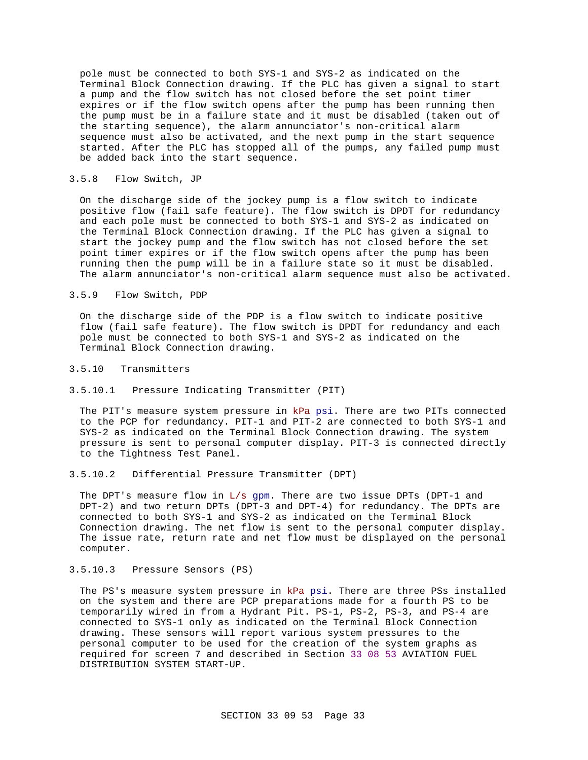pole must be connected to both SYS-1 and SYS-2 as indicated on the Terminal Block Connection drawing. If the PLC has given a signal to start a pump and the flow switch has not closed before the set point timer expires or if the flow switch opens after the pump has been running then the pump must be in a failure state and it must be disabled (taken out of the starting sequence), the alarm annunciator's non-critical alarm sequence must also be activated, and the next pump in the start sequence started. After the PLC has stopped all of the pumps, any failed pump must be added back into the start sequence.

#### 3.5.8 Flow Switch, JP

On the discharge side of the jockey pump is a flow switch to indicate positive flow (fail safe feature). The flow switch is DPDT for redundancy and each pole must be connected to both SYS-1 and SYS-2 as indicated on the Terminal Block Connection drawing. If the PLC has given a signal to start the jockey pump and the flow switch has not closed before the set point timer expires or if the flow switch opens after the pump has been running then the pump will be in a failure state so it must be disabled. The alarm annunciator's non-critical alarm sequence must also be activated.

#### 3.5.9 Flow Switch, PDP

On the discharge side of the PDP is a flow switch to indicate positive flow (fail safe feature). The flow switch is DPDT for redundancy and each pole must be connected to both SYS-1 and SYS-2 as indicated on the Terminal Block Connection drawing.

#### 3.5.10 Transmitters

#### 3.5.10.1 Pressure Indicating Transmitter (PIT)

The PIT's measure system pressure in kPa psi. There are two PITs connected to the PCP for redundancy. PIT-1 and PIT-2 are connected to both SYS-1 and SYS-2 as indicated on the Terminal Block Connection drawing. The system pressure is sent to personal computer display. PIT-3 is connected directly to the Tightness Test Panel.

# 3.5.10.2 Differential Pressure Transmitter (DPT)

The DPT's measure flow in L/s gpm. There are two issue DPTs (DPT-1 and DPT-2) and two return DPTs (DPT-3 and DPT-4) for redundancy. The DPTs are connected to both SYS-1 and SYS-2 as indicated on the Terminal Block Connection drawing. The net flow is sent to the personal computer display. The issue rate, return rate and net flow must be displayed on the personal computer.

# 3.5.10.3 Pressure Sensors (PS)

The PS's measure system pressure in kPa psi. There are three PSs installed on the system and there are PCP preparations made for a fourth PS to be temporarily wired in from a Hydrant Pit. PS-1, PS-2, PS-3, and PS-4 are connected to SYS-1 only as indicated on the Terminal Block Connection drawing. These sensors will report various system pressures to the personal computer to be used for the creation of the system graphs as required for screen 7 and described in Section 33 08 53 AVIATION FUEL DISTRIBUTION SYSTEM START-UP.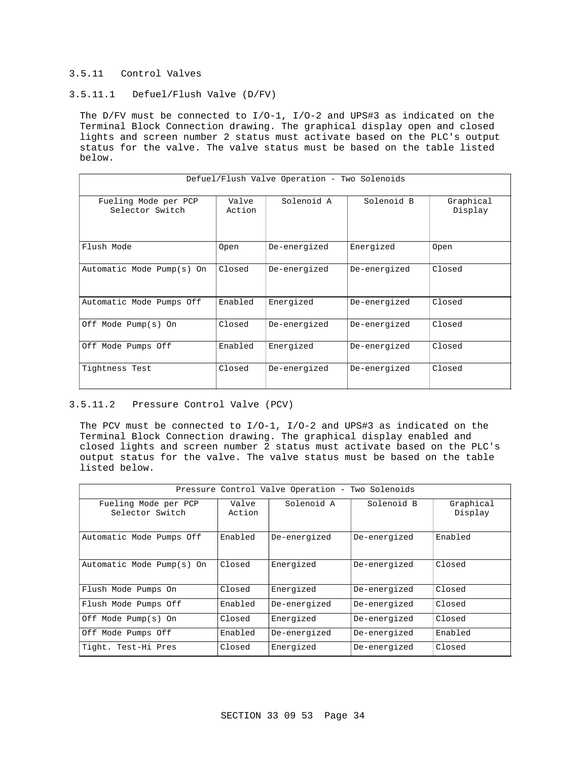### 3.5.11 Control Valves

# 3.5.11.1 Defuel/Flush Valve (D/FV)

The D/FV must be connected to I/O-1, I/O-2 and UPS#3 as indicated on the Terminal Block Connection drawing. The graphical display open and closed lights and screen number 2 status must activate based on the PLC's output status for the valve. The valve status must be based on the table listed below.

| Defuel/Flush Valve Operation - Two Solenoids |                 |              |              |                      |  |
|----------------------------------------------|-----------------|--------------|--------------|----------------------|--|
| Fueling Mode per PCP<br>Selector Switch      | Valve<br>Action | Solenoid A   | Solenoid B   | Graphical<br>Display |  |
| Flush Mode                                   | Open            | De-energized | Energized    | 0pen                 |  |
| Automatic Mode Pump(s) On                    | Closed          | De-energized | De-energized | Closed               |  |
| Automatic Mode Pumps Off                     | Enabled         | Energized    | De-energized | Closed               |  |
| Off Mode Pump(s) On                          | Closed          | De-energized | De-energized | Closed               |  |
| Off Mode Pumps Off                           | Enabled         | Energized    | De-energized | Closed               |  |
| Tightness Test                               | Closed          | De-energized | De-energized | Closed               |  |

# 3.5.11.2 Pressure Control Valve (PCV)

The PCV must be connected to I/O-1, I/O-2 and UPS#3 as indicated on the Terminal Block Connection drawing. The graphical display enabled and closed lights and screen number 2 status must activate based on the PLC's output status for the valve. The valve status must be based on the table listed below.

| Pressure Control Valve Operation - Two Solenoids |                 |              |              |                      |
|--------------------------------------------------|-----------------|--------------|--------------|----------------------|
| Fueling Mode per PCP<br>Selector Switch          | Valve<br>Action | Solenoid A   | Solenoid B   | Graphical<br>Display |
| Automatic Mode Pumps Off                         | Enabled         | De-energized | De-energized | Enabled              |
| Automatic Mode Pump(s) On                        | Closed          | Energized    | De-energized | Closed               |
| Flush Mode Pumps On                              | Closed          | Energized    | De-energized | Closed               |
| Flush Mode Pumps Off                             | Enabled         | De-energized | De-energized | Closed               |
| Off Mode Pump(s) On                              | Closed          | Energized    | De-energized | Closed               |
| Off Mode Pumps Off                               | Enabled         | De-energized | De-energized | Enabled              |
| Tight. Test-Hi Pres                              | Closed          | Energized    | De-energized | Closed               |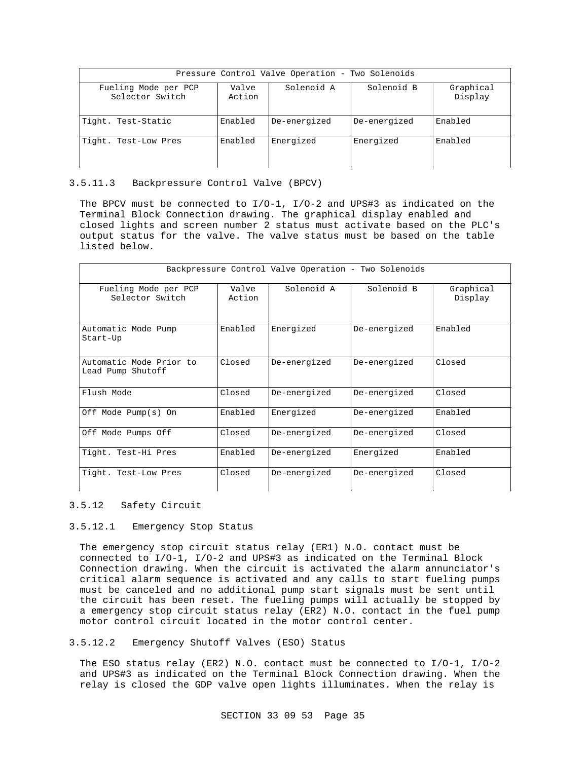| Pressure Control Valve Operation - Two Solenoids |                 |              |              |                      |
|--------------------------------------------------|-----------------|--------------|--------------|----------------------|
| Fueling Mode per PCP<br>Selector Switch          | Valve<br>Action | Solenoid A   | Solenoid B   | Graphical<br>Display |
| Tight. Test-Static                               | Enabled         | De-energized | De-energized | Enabled              |
| Tight. Test-Low Pres                             | Enabled         | Energized    | Energized    | Enabled              |

#### 3.5.11.3 Backpressure Control Valve (BPCV)

The BPCV must be connected to I/O-1, I/O-2 and UPS#3 as indicated on the Terminal Block Connection drawing. The graphical display enabled and closed lights and screen number 2 status must activate based on the PLC's output status for the valve. The valve status must be based on the table listed below.

| Backpressure Control Valve Operation - Two Solenoids |                 |              |              |                      |
|------------------------------------------------------|-----------------|--------------|--------------|----------------------|
| Fueling Mode per PCP<br>Selector Switch              | Valve<br>Action | Solenoid A   | Solenoid B   | Graphical<br>Display |
| Automatic Mode Pump<br>Start-Up                      | Enabled         | Energized    | De-energized | Enabled              |
| Automatic Mode Prior to<br>Lead Pump Shutoff         | Closed          | De-energized | De-energized | Closed               |
| Flush Mode                                           | Closed          | De-energized | De-energized | Closed               |
| Off Mode Pump(s) On                                  | Enabled         | Energized    | De-energized | Enabled              |
| Off Mode Pumps Off                                   | Closed          | De-energized | De-energized | Closed               |
| Tight. Test-Hi Pres                                  | Enabled         | De-energized | Energized    | Enabled              |
| Tight. Test-Low Pres                                 | Closed          | De-energized | De-energized | Closed               |

# 3.5.12 Safety Circuit

# 3.5.12.1 Emergency Stop Status

The emergency stop circuit status relay (ER1) N.O. contact must be connected to I/O-1, I/O-2 and UPS#3 as indicated on the Terminal Block Connection drawing. When the circuit is activated the alarm annunciator's critical alarm sequence is activated and any calls to start fueling pumps must be canceled and no additional pump start signals must be sent until the circuit has been reset. The fueling pumps will actually be stopped by a emergency stop circuit status relay (ER2) N.O. contact in the fuel pump motor control circuit located in the motor control center.

# 3.5.12.2 Emergency Shutoff Valves (ESO) Status

The ESO status relay (ER2) N.O. contact must be connected to  $I/O-1$ ,  $I/O-2$ and UPS#3 as indicated on the Terminal Block Connection drawing. When the relay is closed the GDP valve open lights illuminates. When the relay is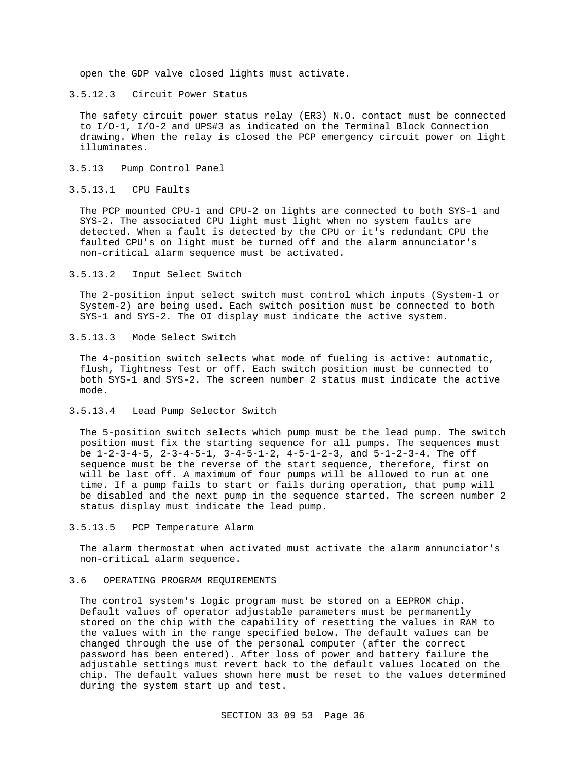open the GDP valve closed lights must activate.

3.5.12.3 Circuit Power Status

The safety circuit power status relay (ER3) N.O. contact must be connected to I/O-1, I/O-2 and UPS#3 as indicated on the Terminal Block Connection drawing. When the relay is closed the PCP emergency circuit power on light illuminates.

3.5.13 Pump Control Panel

#### 3.5.13.1 CPU Faults

The PCP mounted CPU-1 and CPU-2 on lights are connected to both SYS-1 and SYS-2. The associated CPU light must light when no system faults are detected. When a fault is detected by the CPU or it's redundant CPU the faulted CPU's on light must be turned off and the alarm annunciator's non-critical alarm sequence must be activated.

3.5.13.2 Input Select Switch

The 2-position input select switch must control which inputs (System-1 or System-2) are being used. Each switch position must be connected to both SYS-1 and SYS-2. The OI display must indicate the active system.

#### 3.5.13.3 Mode Select Switch

The 4-position switch selects what mode of fueling is active: automatic, flush, Tightness Test or off. Each switch position must be connected to both SYS-1 and SYS-2. The screen number 2 status must indicate the active mode.

3.5.13.4 Lead Pump Selector Switch

The 5-position switch selects which pump must be the lead pump. The switch position must fix the starting sequence for all pumps. The sequences must be  $1-2-3-4-5$ ,  $2-3-4-5-1$ ,  $3-4-5-1-2$ ,  $4-5-1-2-3$ , and  $5-1-2-3-4$ . The off sequence must be the reverse of the start sequence, therefore, first on will be last off. A maximum of four pumps will be allowed to run at one time. If a pump fails to start or fails during operation, that pump will be disabled and the next pump in the sequence started. The screen number 2 status display must indicate the lead pump.

3.5.13.5 PCP Temperature Alarm

The alarm thermostat when activated must activate the alarm annunciator's non-critical alarm sequence.

#### 3.6 OPERATING PROGRAM REQUIREMENTS

The control system's logic program must be stored on a EEPROM chip. Default values of operator adjustable parameters must be permanently stored on the chip with the capability of resetting the values in RAM to the values with in the range specified below. The default values can be changed through the use of the personal computer (after the correct password has been entered). After loss of power and battery failure the adjustable settings must revert back to the default values located on the chip. The default values shown here must be reset to the values determined during the system start up and test.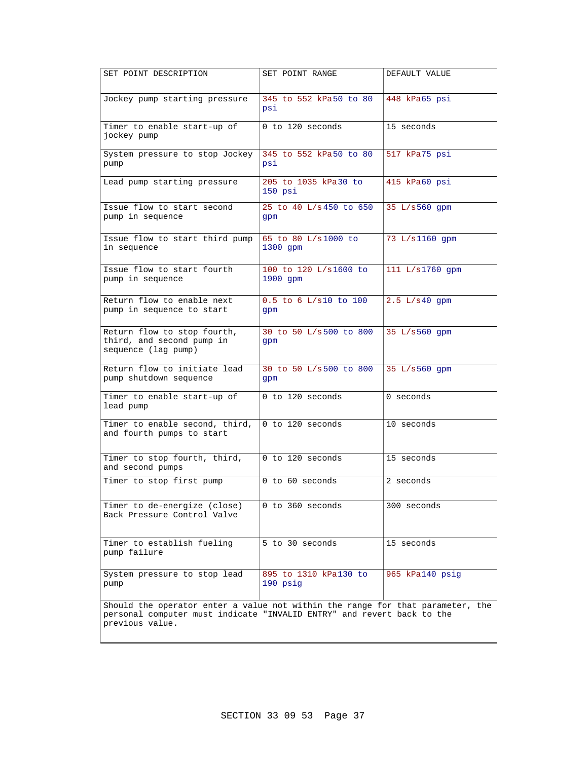| SET POINT DESCRIPTION                                                                                                                                                       | SET POINT RANGE                   | DEFAULT VALUE   |  |  |
|-----------------------------------------------------------------------------------------------------------------------------------------------------------------------------|-----------------------------------|-----------------|--|--|
| Jockey pump starting pressure                                                                                                                                               | 345 to 552 kPa50 to 80<br>psi     | 448 kPa65 psi   |  |  |
| Timer to enable start-up of<br>jockey pump                                                                                                                                  | 0 to 120 seconds                  | 15 seconds      |  |  |
| System pressure to stop Jockey<br>pump                                                                                                                                      | 345 to 552 kPa50 to 80<br>psi     | 517 kPa75 psi   |  |  |
| Lead pump starting pressure                                                                                                                                                 | 205 to 1035 kPa30 to<br>$150$ psi | 415 kPa60 psi   |  |  |
| Issue flow to start second<br>pump in sequence                                                                                                                              | 25 to 40 L/s450 to 650<br>gpm     | 35 L/s560 qpm   |  |  |
| Issue flow to start third pump<br>in sequence                                                                                                                               | 65 to 80 L/s1000 to<br>$1300$ qpm | 73 L/s1160 qpm  |  |  |
| Issue flow to start fourth<br>pump in sequence                                                                                                                              | 100 to 120 L/s1600 to<br>1900 qpm | 111 L/s1760 qpm |  |  |
| Return flow to enable next<br>pump in sequence to start                                                                                                                     | 0.5 to 6 L/s10 to 100<br>gpm      | $2.5 L/s40$ qpm |  |  |
| Return flow to stop fourth,<br>third, and second pump in<br>sequence (lag pump)                                                                                             | 30 to 50 L/s500 to 800<br>qpm     | 35 L/s560 gpm   |  |  |
| Return flow to initiate lead<br>pump shutdown sequence                                                                                                                      | 30 to 50 L/s500 to 800<br>gpm     | 35 L/s560 gpm   |  |  |
| Timer to enable start-up of<br>lead pump                                                                                                                                    | 0 to 120 seconds                  | 0 seconds       |  |  |
| Timer to enable second, third,<br>and fourth pumps to start                                                                                                                 | 0 to 120 seconds                  | 10 seconds      |  |  |
| Timer to stop fourth, third,<br>and second pumps                                                                                                                            | 0 to 120 seconds                  | 15 seconds      |  |  |
| Timer to stop first pump                                                                                                                                                    | 0 to 60 seconds                   | 2 seconds       |  |  |
| Timer to de-energize (close)<br>Back Pressure Control Valve                                                                                                                 | 0 to 360 seconds                  | 300 seconds     |  |  |
| Timer to establish fueling<br>pump failure                                                                                                                                  | 5 to 30 seconds                   | 15 seconds      |  |  |
| System pressure to stop lead<br>pump                                                                                                                                        | 895 to 1310 kPa130 to<br>190 psig | 965 kPa140 psig |  |  |
| Should the operator enter a value not within the range for that parameter, the<br>personal computer must indicate "INVALID ENTRY" and revert back to the<br>previous value. |                                   |                 |  |  |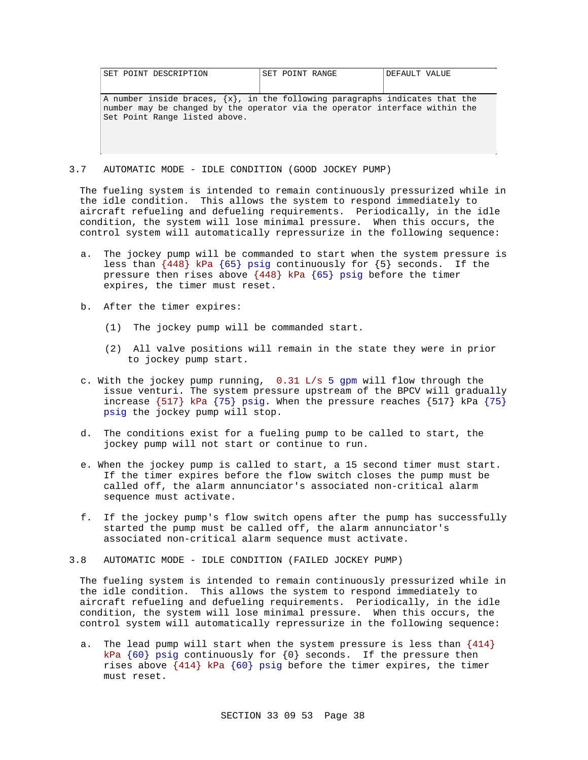| SET POINT DESCRIPTION                                                                                                                                                                            | SET POINT RANGE | DEFAULT VALUE |
|--------------------------------------------------------------------------------------------------------------------------------------------------------------------------------------------------|-----------------|---------------|
| A number inside braces, $\{x\}$ , in the following paragraphs indicates that the<br>number may be changed by the operator via the operator interface within the<br>Set Point Range listed above. |                 |               |

3.7 AUTOMATIC MODE - IDLE CONDITION (GOOD JOCKEY PUMP)

The fueling system is intended to remain continuously pressurized while in the idle condition. This allows the system to respond immediately to aircraft refueling and defueling requirements. Periodically, in the idle condition, the system will lose minimal pressure. When this occurs, the control system will automatically repressurize in the following sequence:

- a. The jockey pump will be commanded to start when the system pressure is less than {448} kPa {65} psig continuously for {5} seconds. If the pressure then rises above {448} kPa {65} psig before the timer expires, the timer must reset.
- b. After the timer expires:
	- (1) The jockey pump will be commanded start.
	- (2) All valve positions will remain in the state they were in prior to jockey pump start.
- c. With the jockey pump running, 0.31 L/s 5 gpm will flow through the issue venturi. The system pressure upstream of the BPCV will gradually increase {517} kPa {75} psig. When the pressure reaches {517} kPa {75} psig the jockey pump will stop.
- d. The conditions exist for a fueling pump to be called to start, the jockey pump will not start or continue to run.
- e. When the jockey pump is called to start, a 15 second timer must start. If the timer expires before the flow switch closes the pump must be called off, the alarm annunciator's associated non-critical alarm sequence must activate.
- f. If the jockey pump's flow switch opens after the pump has successfully started the pump must be called off, the alarm annunciator's associated non-critical alarm sequence must activate.
- 3.8 AUTOMATIC MODE IDLE CONDITION (FAILED JOCKEY PUMP)

The fueling system is intended to remain continuously pressurized while in the idle condition. This allows the system to respond immediately to aircraft refueling and defueling requirements. Periodically, in the idle condition, the system will lose minimal pressure. When this occurs, the control system will automatically repressurize in the following sequence:

a. The lead pump will start when the system pressure is less than {414} kPa  $\{60\}$  psig continuously for  $\{0\}$  seconds. If the pressure then rises above {414} kPa {60} psig before the timer expires, the timer must reset.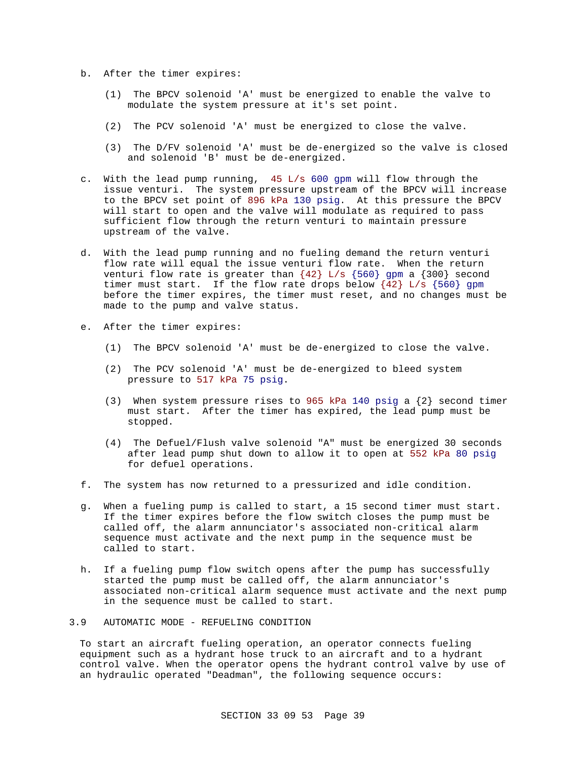- b. After the timer expires:
	- (1) The BPCV solenoid 'A' must be energized to enable the valve to modulate the system pressure at it's set point.
	- (2) The PCV solenoid 'A' must be energized to close the valve.
	- (3) The D/FV solenoid 'A' must be de-energized so the valve is closed and solenoid 'B' must be de-energized.
- c. With the lead pump running, 45 L/s 600 gpm will flow through the issue venturi. The system pressure upstream of the BPCV will increase to the BPCV set point of 896 kPa 130 psig. At this pressure the BPCV will start to open and the valve will modulate as required to pass sufficient flow through the return venturi to maintain pressure upstream of the valve.
- d. With the lead pump running and no fueling demand the return venturi flow rate will equal the issue venturi flow rate. When the return venturi flow rate is greater than  ${42}$  L/s  ${560}$  gpm a  ${300}$  second timer must start. If the flow rate drops below  $\{42\}$  L/s  $\{560\}$  gpm before the timer expires, the timer must reset, and no changes must be made to the pump and valve status.
- e. After the timer expires:
	- (1) The BPCV solenoid 'A' must be de-energized to close the valve.
	- (2) The PCV solenoid 'A' must be de-energized to bleed system pressure to 517 kPa 75 psig.
	- (3) When system pressure rises to 965 kPa 140 psig a  $\{2\}$  second timer must start. After the timer has expired, the lead pump must be stopped.
	- (4) The Defuel/Flush valve solenoid "A" must be energized 30 seconds after lead pump shut down to allow it to open at 552 kPa 80 psig for defuel operations.
- f. The system has now returned to a pressurized and idle condition.
- g. When a fueling pump is called to start, a 15 second timer must start. If the timer expires before the flow switch closes the pump must be called off, the alarm annunciator's associated non-critical alarm sequence must activate and the next pump in the sequence must be called to start.
- h. If a fueling pump flow switch opens after the pump has successfully started the pump must be called off, the alarm annunciator's associated non-critical alarm sequence must activate and the next pump in the sequence must be called to start.
- 3.9 AUTOMATIC MODE REFUELING CONDITION

To start an aircraft fueling operation, an operator connects fueling equipment such as a hydrant hose truck to an aircraft and to a hydrant control valve. When the operator opens the hydrant control valve by use of an hydraulic operated "Deadman", the following sequence occurs: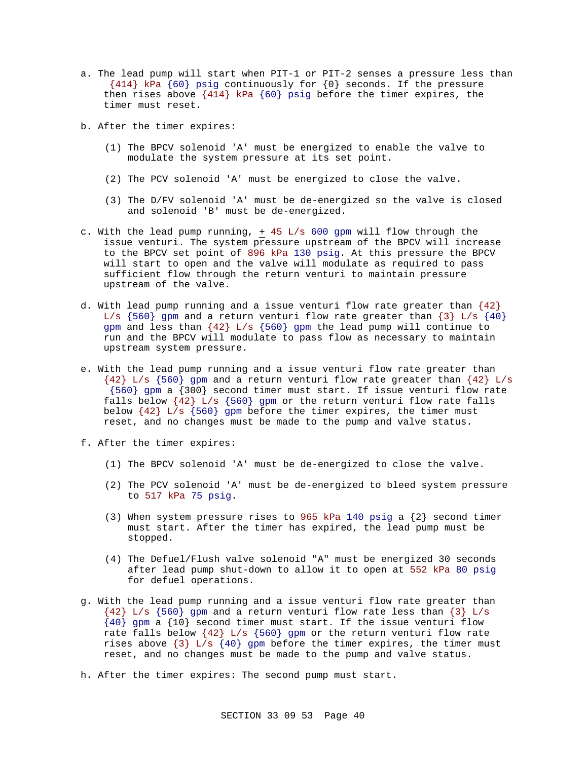- a. The lead pump will start when PIT-1 or PIT-2 senses a pressure less than {414} kPa {60} psig continuously for {0} seconds. If the pressure then rises above {414} kPa {60} psig before the timer expires, the timer must reset.
- b. After the timer expires:
	- (1) The BPCV solenoid 'A' must be energized to enable the valve to modulate the system pressure at its set point.
	- (2) The PCV solenoid 'A' must be energized to close the valve.
	- (3) The D/FV solenoid 'A' must be de-energized so the valve is closed and solenoid 'B' must be de-energized.
- c. With the lead pump running, + 45 L/s 600 gpm will flow through the issue venturi. The system pressure upstream of the BPCV will increase to the BPCV set point of 896 kPa 130 psig. At this pressure the BPCV will start to open and the valve will modulate as required to pass sufficient flow through the return venturi to maintain pressure upstream of the valve.
- d. With lead pump running and a issue venturi flow rate greater than  $\{42\}$ L/s  $\{560\}$  gpm and a return venturi flow rate greater than  $\{3\}$  L/s  $\{40\}$ gpm and less than  $\{42\}$  L/s  $\{560\}$  gpm the lead pump will continue to run and the BPCV will modulate to pass flow as necessary to maintain upstream system pressure.
- e. With the lead pump running and a issue venturi flow rate greater than  ${42}$  L/s  ${560}$  gpm and a return venturi flow rate greater than  ${42}$  L/s {560} gpm a {300} second timer must start. If issue venturi flow rate falls below  $\{42\}$  L/s  $\{560\}$  gpm or the return venturi flow rate falls below  ${42}$  L/s  ${560}$  gpm before the timer expires, the timer must reset, and no changes must be made to the pump and valve status.
- f. After the timer expires:
	- (1) The BPCV solenoid 'A' must be de-energized to close the valve.
	- (2) The PCV solenoid 'A' must be de-energized to bleed system pressure to 517 kPa 75 psig.
	- (3) When system pressure rises to 965 kPa 140 psig a  $\{2\}$  second timer must start. After the timer has expired, the lead pump must be stopped.
	- (4) The Defuel/Flush valve solenoid "A" must be energized 30 seconds after lead pump shut-down to allow it to open at 552 kPa 80 psig for defuel operations.
- g. With the lead pump running and a issue venturi flow rate greater than  ${42}$  L/s  ${560}$  gpm and a return venturi flow rate less than  ${3}$  L/s  ${40}$  gpm a  ${10}$  second timer must start. If the issue venturi flow rate falls below  $\{42\}$  L/s  $\{560\}$  gpm or the return venturi flow rate rises above  $\{3\}$  L/s  $\{40\}$  gpm before the timer expires, the timer must reset, and no changes must be made to the pump and valve status.
- h. After the timer expires: The second pump must start.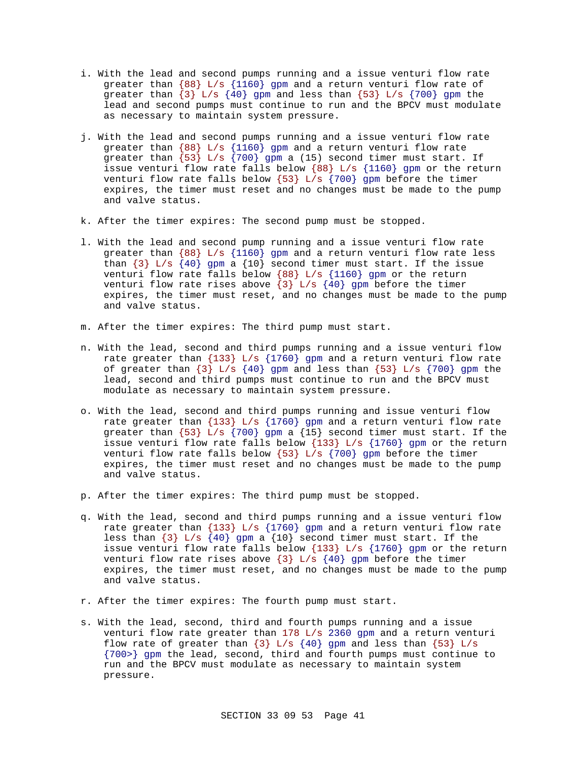- i. With the lead and second pumps running and a issue venturi flow rate greater than  ${88}$  L/s  ${1160}$  gpm and a return venturi flow rate of greater than  $\{3\}$  L/s  $\{40\}$  gpm and less than  $\{53\}$  L/s  $\{700\}$  gpm the lead and second pumps must continue to run and the BPCV must modulate as necessary to maintain system pressure.
- j. With the lead and second pumps running and a issue venturi flow rate greater than  ${88}$  L/s  ${1160}$  gpm and a return venturi flow rate greater than  $\{53\}$  L/s  $\{700\}$  gpm a (15) second timer must start. If issue venturi flow rate falls below {88} L/s {1160} gpm or the return venturi flow rate falls below  $\{53\}$  L/s  $\{700\}$  gpm before the timer expires, the timer must reset and no changes must be made to the pump and valve status.
- k. After the timer expires: The second pump must be stopped.
- l. With the lead and second pump running and a issue venturi flow rate greater than {88} L/s {1160} gpm and a return venturi flow rate less than  $\{3\}$  L/s  $\{40\}$  gpm a  $\{10\}$  second timer must start. If the issue venturi flow rate falls below {88} L/s {1160} gpm or the return venturi flow rate rises above  $\{3\}$  L/s  $\{40\}$  gpm before the timer expires, the timer must reset, and no changes must be made to the pump and valve status.
- m. After the timer expires: The third pump must start.
- n. With the lead, second and third pumps running and a issue venturi flow rate greater than  $\{133\}$  L/s  $\{1760\}$  gpm and a return venturi flow rate of greater than  $\{3\}$  L/s  $\{40\}$  gpm and less than  $\{53\}$  L/s  $\{700\}$  gpm the lead, second and third pumps must continue to run and the BPCV must modulate as necessary to maintain system pressure.
- o. With the lead, second and third pumps running and issue venturi flow rate greater than  $\{133\}$  L/s  $\{1760\}$  gpm and a return venturi flow rate greater than  $\{53\}$  L/s  $\{700\}$  gpm a  $\{15\}$  second timer must start. If the issue venturi flow rate falls below  $\{133\}$  L/s  $\{1760\}$  gpm or the return venturi flow rate falls below  $\{53\}$  L/s  $\{700\}$  gpm before the timer expires, the timer must reset and no changes must be made to the pump and valve status.
- p. After the timer expires: The third pump must be stopped.
- q. With the lead, second and third pumps running and a issue venturi flow rate greater than  $\{133\}$  L/s  $\{1760\}$  gpm and a return venturi flow rate less than  $\{3\}$  L/s  $\{40\}$  gpm a  $\{10\}$  second timer must start. If the issue venturi flow rate falls below {133} L/s {1760} gpm or the return venturi flow rate rises above  $\{3\}$  L/s  $\{40\}$  gpm before the timer expires, the timer must reset, and no changes must be made to the pump and valve status.
- r. After the timer expires: The fourth pump must start.
- s. With the lead, second, third and fourth pumps running and a issue venturi flow rate greater than 178 L/s 2360 gpm and a return venturi flow rate of greater than  $\{3\}$  L/s  $\{40\}$  gpm and less than  $\{53\}$  L/s {700>} gpm the lead, second, third and fourth pumps must continue to run and the BPCV must modulate as necessary to maintain system pressure.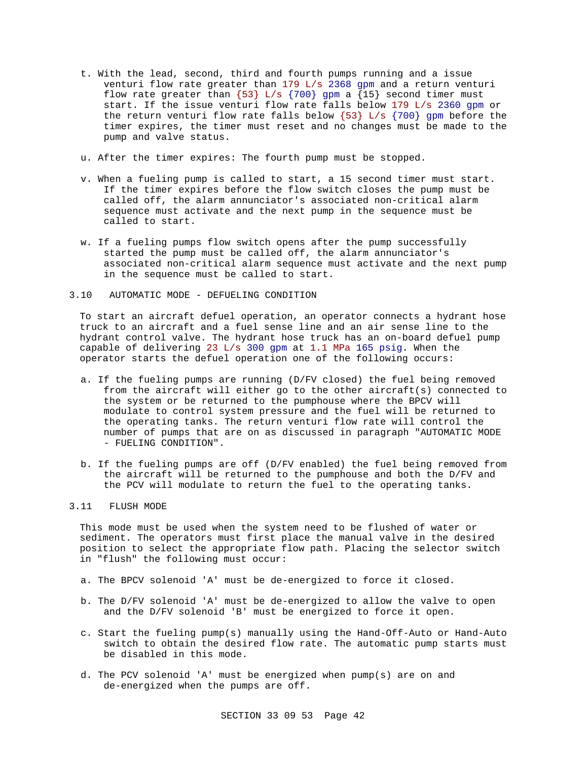- t. With the lead, second, third and fourth pumps running and a issue venturi flow rate greater than 179 L/s 2368 gpm and a return venturi flow rate greater than  $\{53\}$  L/s  $\{700\}$  gpm a  $\{15\}$  second timer must start. If the issue venturi flow rate falls below 179 L/s 2360 gpm or the return venturi flow rate falls below  $\{53\}$  L/s  $\{700\}$  gpm before the timer expires, the timer must reset and no changes must be made to the pump and valve status.
- u. After the timer expires: The fourth pump must be stopped.
- v. When a fueling pump is called to start, a 15 second timer must start. If the timer expires before the flow switch closes the pump must be called off, the alarm annunciator's associated non-critical alarm sequence must activate and the next pump in the sequence must be called to start.
- w. If a fueling pumps flow switch opens after the pump successfully started the pump must be called off, the alarm annunciator's associated non-critical alarm sequence must activate and the next pump in the sequence must be called to start.

# 3.10 AUTOMATIC MODE - DEFUELING CONDITION

To start an aircraft defuel operation, an operator connects a hydrant hose truck to an aircraft and a fuel sense line and an air sense line to the hydrant control valve. The hydrant hose truck has an on-board defuel pump capable of delivering 23 L/s 300 gpm at 1.1 MPa 165 psig. When the operator starts the defuel operation one of the following occurs:

- a. If the fueling pumps are running (D/FV closed) the fuel being removed from the aircraft will either go to the other aircraft(s) connected to the system or be returned to the pumphouse where the BPCV will modulate to control system pressure and the fuel will be returned to the operating tanks. The return venturi flow rate will control the number of pumps that are on as discussed in paragraph "AUTOMATIC MODE - FUELING CONDITION".
- b. If the fueling pumps are off (D/FV enabled) the fuel being removed from the aircraft will be returned to the pumphouse and both the D/FV and the PCV will modulate to return the fuel to the operating tanks.

#### 3.11 FLUSH MODE

This mode must be used when the system need to be flushed of water or sediment. The operators must first place the manual valve in the desired position to select the appropriate flow path. Placing the selector switch in "flush" the following must occur:

- a. The BPCV solenoid 'A' must be de-energized to force it closed.
- b. The D/FV solenoid 'A' must be de-energized to allow the valve to open and the D/FV solenoid 'B' must be energized to force it open.
- c. Start the fueling pump(s) manually using the Hand-Off-Auto or Hand-Auto switch to obtain the desired flow rate. The automatic pump starts must be disabled in this mode.
- d. The PCV solenoid 'A' must be energized when pump(s) are on and de-energized when the pumps are off.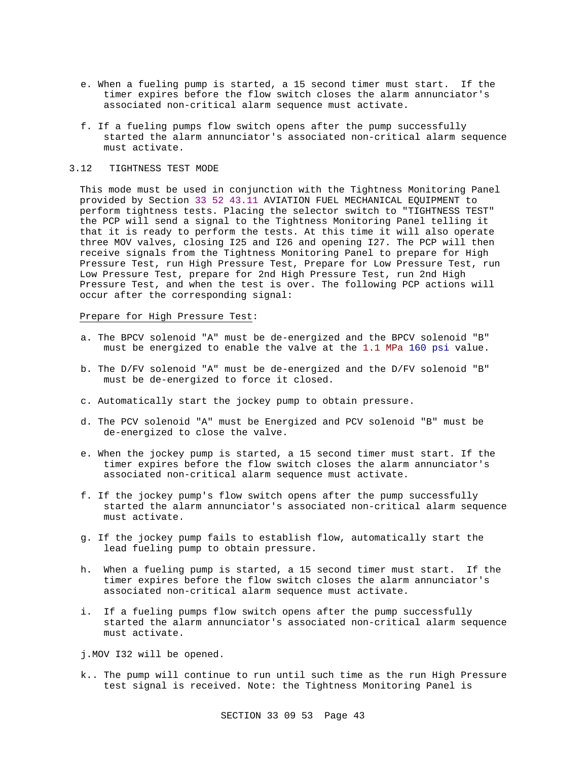- e. When a fueling pump is started, a 15 second timer must start. If the timer expires before the flow switch closes the alarm annunciator's associated non-critical alarm sequence must activate.
- f. If a fueling pumps flow switch opens after the pump successfully started the alarm annunciator's associated non-critical alarm sequence must activate.

# 3.12 TIGHTNESS TEST MODE

This mode must be used in conjunction with the Tightness Monitoring Panel provided by Section 33 52 43.11 AVIATION FUEL MECHANICAL EQUIPMENT to perform tightness tests. Placing the selector switch to "TIGHTNESS TEST" the PCP will send a signal to the Tightness Monitoring Panel telling it that it is ready to perform the tests. At this time it will also operate three MOV valves, closing I25 and I26 and opening I27. The PCP will then receive signals from the Tightness Monitoring Panel to prepare for High Pressure Test, run High Pressure Test, Prepare for Low Pressure Test, run Low Pressure Test, prepare for 2nd High Pressure Test, run 2nd High Pressure Test, and when the test is over. The following PCP actions will occur after the corresponding signal:

# Prepare for High Pressure Test:

- a. The BPCV solenoid "A" must be de-energized and the BPCV solenoid "B" must be energized to enable the valve at the 1.1 MPa 160 psi value.
- b. The D/FV solenoid "A" must be de-energized and the D/FV solenoid "B" must be de-energized to force it closed.
- c. Automatically start the jockey pump to obtain pressure.
- d. The PCV solenoid "A" must be Energized and PCV solenoid "B" must be de-energized to close the valve.
- e. When the jockey pump is started, a 15 second timer must start. If the timer expires before the flow switch closes the alarm annunciator's associated non-critical alarm sequence must activate.
- f. If the jockey pump's flow switch opens after the pump successfully started the alarm annunciator's associated non-critical alarm sequence must activate.
- g. If the jockey pump fails to establish flow, automatically start the lead fueling pump to obtain pressure.
- h. When a fueling pump is started, a 15 second timer must start. If the timer expires before the flow switch closes the alarm annunciator's associated non-critical alarm sequence must activate.
- i. If a fueling pumps flow switch opens after the pump successfully started the alarm annunciator's associated non-critical alarm sequence must activate.
- j.MOV I32 will be opened.
- k.. The pump will continue to run until such time as the run High Pressure test signal is received. Note: the Tightness Monitoring Panel is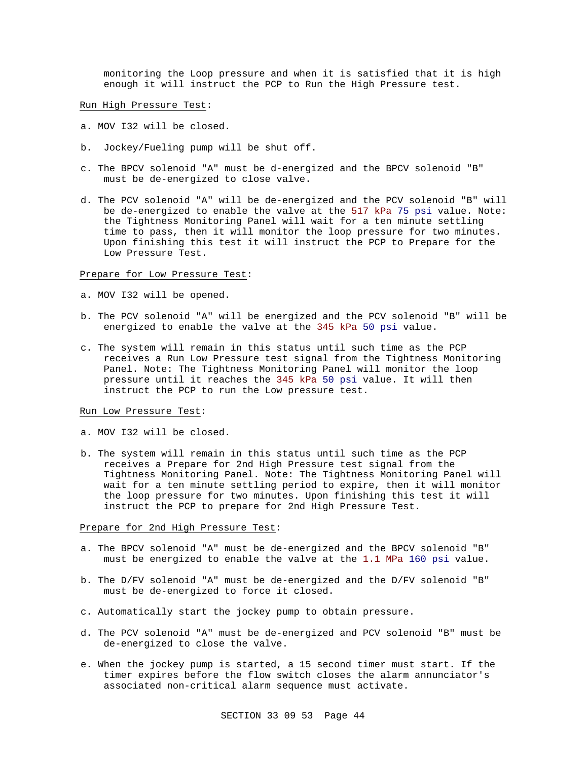monitoring the Loop pressure and when it is satisfied that it is high enough it will instruct the PCP to Run the High Pressure test.

Run High Pressure Test:

- a. MOV I32 will be closed.
- b. Jockey/Fueling pump will be shut off.
- c. The BPCV solenoid "A" must be d-energized and the BPCV solenoid "B" must be de-energized to close valve.
- d. The PCV solenoid "A" will be de-energized and the PCV solenoid "B" will be de-energized to enable the valve at the 517 kPa 75 psi value. Note: the Tightness Monitoring Panel will wait for a ten minute settling time to pass, then it will monitor the loop pressure for two minutes. Upon finishing this test it will instruct the PCP to Prepare for the Low Pressure Test.

# Prepare for Low Pressure Test:

- a. MOV I32 will be opened.
- b. The PCV solenoid "A" will be energized and the PCV solenoid "B" will be energized to enable the valve at the 345 kPa 50 psi value.
- c. The system will remain in this status until such time as the PCP receives a Run Low Pressure test signal from the Tightness Monitoring Panel. Note: The Tightness Monitoring Panel will monitor the loop pressure until it reaches the 345 kPa 50 psi value. It will then instruct the PCP to run the Low pressure test.

#### Run Low Pressure Test:

- a. MOV I32 will be closed.
- b. The system will remain in this status until such time as the PCP receives a Prepare for 2nd High Pressure test signal from the Tightness Monitoring Panel. Note: The Tightness Monitoring Panel will wait for a ten minute settling period to expire, then it will monitor the loop pressure for two minutes. Upon finishing this test it will instruct the PCP to prepare for 2nd High Pressure Test.

# Prepare for 2nd High Pressure Test:

- a. The BPCV solenoid "A" must be de-energized and the BPCV solenoid "B" must be energized to enable the valve at the 1.1 MPa 160 psi value.
- b. The D/FV solenoid "A" must be de-energized and the D/FV solenoid "B" must be de-energized to force it closed.
- c. Automatically start the jockey pump to obtain pressure.
- d. The PCV solenoid "A" must be de-energized and PCV solenoid "B" must be de-energized to close the valve.
- e. When the jockey pump is started, a 15 second timer must start. If the timer expires before the flow switch closes the alarm annunciator's associated non-critical alarm sequence must activate.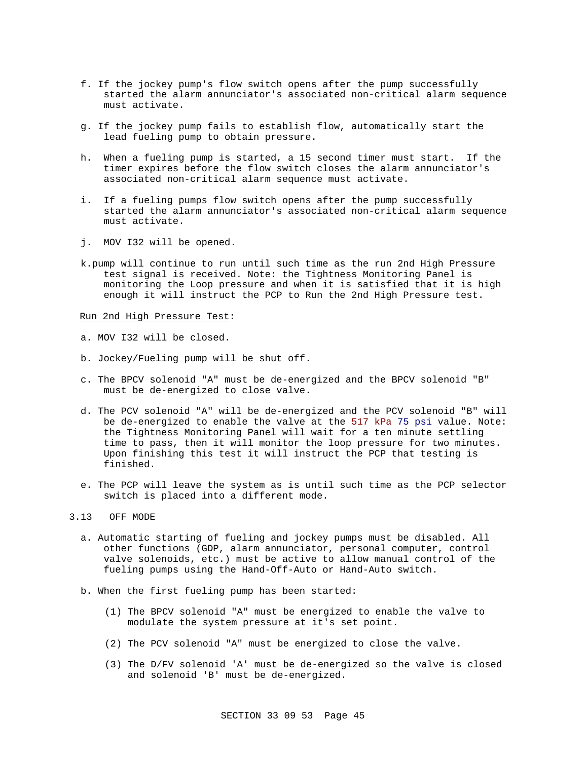- f. If the jockey pump's flow switch opens after the pump successfully started the alarm annunciator's associated non-critical alarm sequence must activate.
- g. If the jockey pump fails to establish flow, automatically start the lead fueling pump to obtain pressure.
- h. When a fueling pump is started, a 15 second timer must start. If the timer expires before the flow switch closes the alarm annunciator's associated non-critical alarm sequence must activate.
- i. If a fueling pumps flow switch opens after the pump successfully started the alarm annunciator's associated non-critical alarm sequence must activate.
- j. MOV I32 will be opened.
- k.pump will continue to run until such time as the run 2nd High Pressure test signal is received. Note: the Tightness Monitoring Panel is monitoring the Loop pressure and when it is satisfied that it is high enough it will instruct the PCP to Run the 2nd High Pressure test.

Run 2nd High Pressure Test:

- a. MOV I32 will be closed.
- b. Jockey/Fueling pump will be shut off.
- c. The BPCV solenoid "A" must be de-energized and the BPCV solenoid "B" must be de-energized to close valve.
- d. The PCV solenoid "A" will be de-energized and the PCV solenoid "B" will be de-energized to enable the valve at the 517 kPa 75 psi value. Note: the Tightness Monitoring Panel will wait for a ten minute settling time to pass, then it will monitor the loop pressure for two minutes. Upon finishing this test it will instruct the PCP that testing is finished.
- e. The PCP will leave the system as is until such time as the PCP selector switch is placed into a different mode.

#### 3.13 OFF MODE

- a. Automatic starting of fueling and jockey pumps must be disabled. All other functions (GDP, alarm annunciator, personal computer, control valve solenoids, etc.) must be active to allow manual control of the fueling pumps using the Hand-Off-Auto or Hand-Auto switch.
- b. When the first fueling pump has been started:
	- (1) The BPCV solenoid "A" must be energized to enable the valve to modulate the system pressure at it's set point.
	- (2) The PCV solenoid "A" must be energized to close the valve.
	- (3) The D/FV solenoid 'A' must be de-energized so the valve is closed and solenoid 'B' must be de-energized.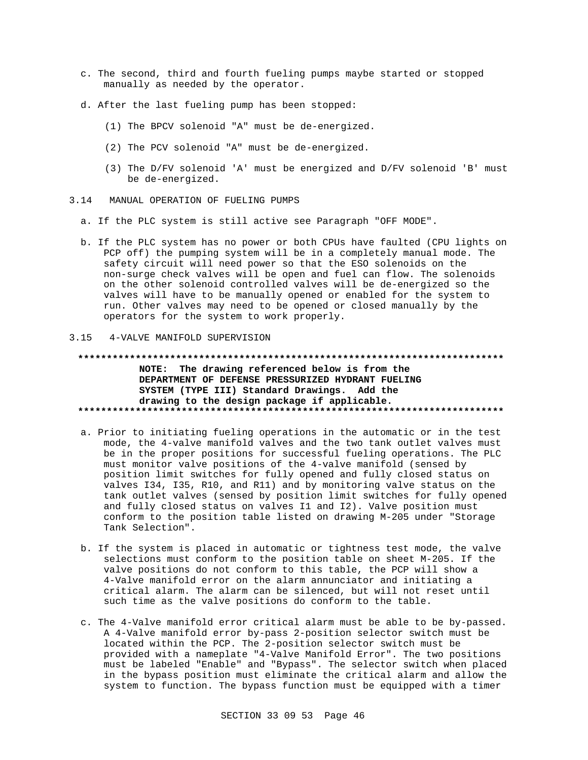- c. The second, third and fourth fueling pumps maybe started or stopped manually as needed by the operator.
- d. After the last fueling pump has been stopped:
	- (1) The BPCV solenoid "A" must be de-energized.
	- (2) The PCV solenoid "A" must be de-energized.
	- (3) The D/FV solenoid 'A' must be energized and D/FV solenoid 'B' must be de-energized.
- 3.14 MANUAL OPERATION OF FUELING PUMPS
	- a. If the PLC system is still active see Paragraph "OFF MODE".
	- b. If the PLC system has no power or both CPUs have faulted (CPU lights on PCP off) the pumping system will be in a completely manual mode. The safety circuit will need power so that the ESO solenoids on the non-surge check valves will be open and fuel can flow. The solenoids on the other solenoid controlled valves will be de-energized so the valves will have to be manually opened or enabled for the system to run. Other valves may need to be opened or closed manually by the operators for the system to work properly.

#### 3.15 4-VALVE MANIFOLD SUPERVISION

### **\*\*\*\*\*\*\*\*\*\*\*\*\*\*\*\*\*\*\*\*\*\*\*\*\*\*\*\*\*\*\*\*\*\*\*\*\*\*\*\*\*\*\*\*\*\*\*\*\*\*\*\*\*\*\*\*\*\*\*\*\*\*\*\*\*\*\*\*\*\*\*\*\*\* NOTE: The drawing referenced below is from the**

**DEPARTMENT OF DEFENSE PRESSURIZED HYDRANT FUELING SYSTEM (TYPE III) Standard Drawings. Add the drawing to the design package if applicable. \*\*\*\*\*\*\*\*\*\*\*\*\*\*\*\*\*\*\*\*\*\*\*\*\*\*\*\*\*\*\*\*\*\*\*\*\*\*\*\*\*\*\*\*\*\*\*\*\*\*\*\*\*\*\*\*\*\*\*\*\*\*\*\*\*\*\*\*\*\*\*\*\*\***

- a. Prior to initiating fueling operations in the automatic or in the test mode, the 4-valve manifold valves and the two tank outlet valves must be in the proper positions for successful fueling operations. The PLC must monitor valve positions of the 4-valve manifold (sensed by position limit switches for fully opened and fully closed status on valves I34, I35, R10, and R11) and by monitoring valve status on the tank outlet valves (sensed by position limit switches for fully opened and fully closed status on valves I1 and I2). Valve position must conform to the position table listed on drawing M-205 under "Storage Tank Selection".
- b. If the system is placed in automatic or tightness test mode, the valve selections must conform to the position table on sheet M-205. If the valve positions do not conform to this table, the PCP will show a 4-Valve manifold error on the alarm annunciator and initiating a critical alarm. The alarm can be silenced, but will not reset until such time as the valve positions do conform to the table.
- c. The 4-Valve manifold error critical alarm must be able to be by-passed. A 4-Valve manifold error by-pass 2-position selector switch must be located within the PCP. The 2-position selector switch must be provided with a nameplate "4-Valve Manifold Error". The two positions must be labeled "Enable" and "Bypass". The selector switch when placed in the bypass position must eliminate the critical alarm and allow the system to function. The bypass function must be equipped with a timer